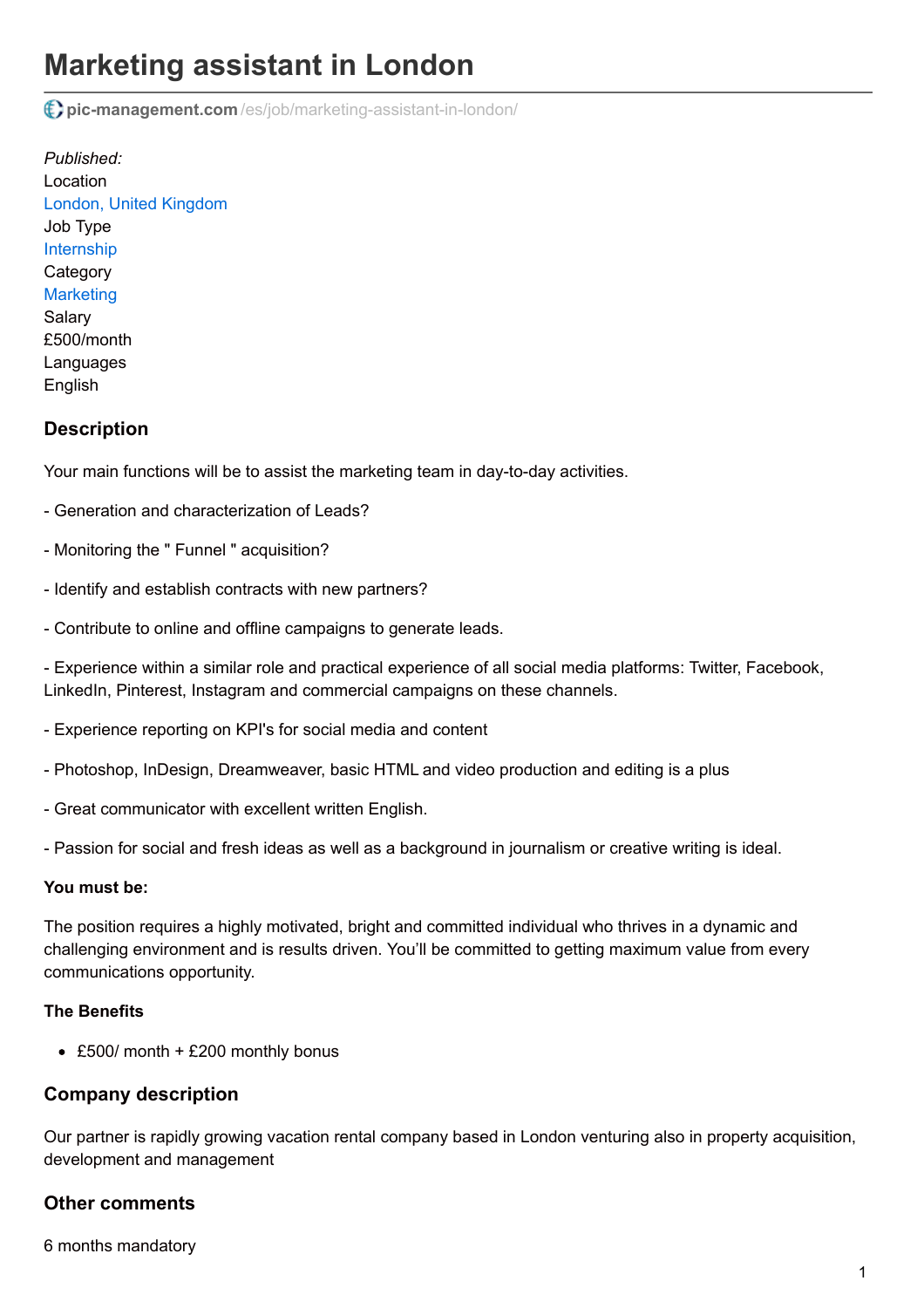# **Marketing assistant in London**

**pic-management.com** [/es/job/marketing-assistant-in-london/](http://www.pic-management.com/es/job/marketing-assistant-in-london/)

*Published:* Location [London, United Kingdom](https://www.google.com/maps/embed/v1/place?key=AIzaSyCczTP8nhcRK_FOj-OF9MbsUnrXVxoiM24&q=London%2C+%2C+%2C+United+Kingdom&zoom=15) Job Type [Internship](http://www.pic-management.com/es/candidatos/estudiantes/ofertas-de-practicas/type/internship/) **Category [Marketing](http://www.pic-management.com/es/candidatos/estudiantes/ofertas-de-practicas/category/marketing/)** Salary £500/month Languages English

## **Description**

Your main functions will be to assist the marketing team in day-to-day activities.

- Generation and characterization of Leads?
- Monitoring the " Funnel " acquisition?
- Identify and establish contracts with new partners?
- Contribute to online and offline campaigns to generate leads.

- Experience within a similar role and practical experience of all social media platforms: Twitter, Facebook, LinkedIn, Pinterest, Instagram and commercial campaigns on these channels.

- Experience reporting on KPI's for social media and content
- Photoshop, InDesign, Dreamweaver, basic HTML and video production and editing is a plus
- Great communicator with excellent written English.
- Passion for social and fresh ideas as well as a background in journalism or creative writing is ideal.

#### **You must be:**

The position requires a highly motivated, bright and committed individual who thrives in a dynamic and challenging environment and is results driven. You'll be committed to getting maximum value from every communications opportunity.

#### **The Benefits**

• £500/ month + £200 monthly bonus

#### **Company description**

Our partner is rapidly growing vacation rental company based in London venturing also in property acquisition, development and management

### **Other comments**

6 months mandatory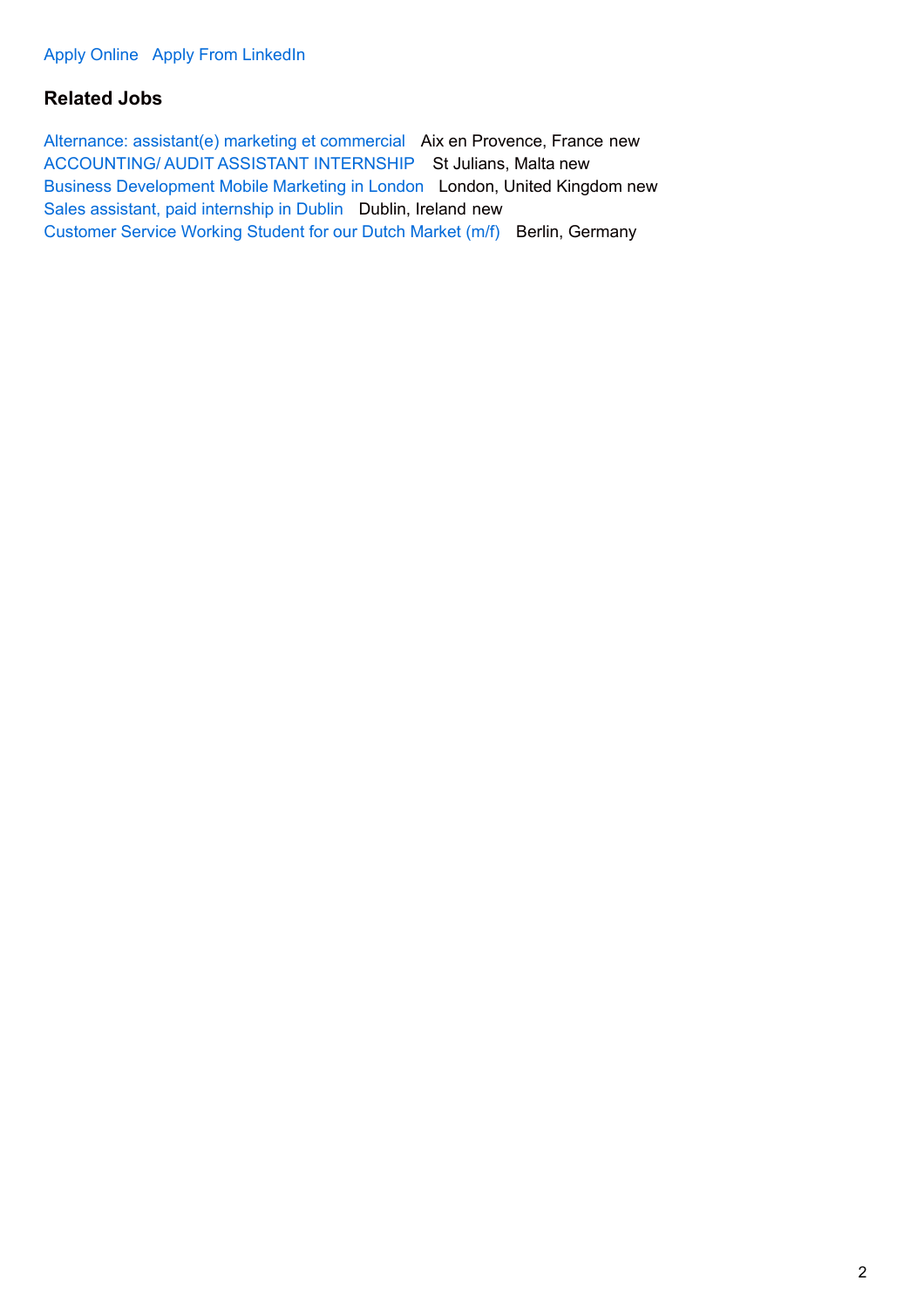## **Related Jobs**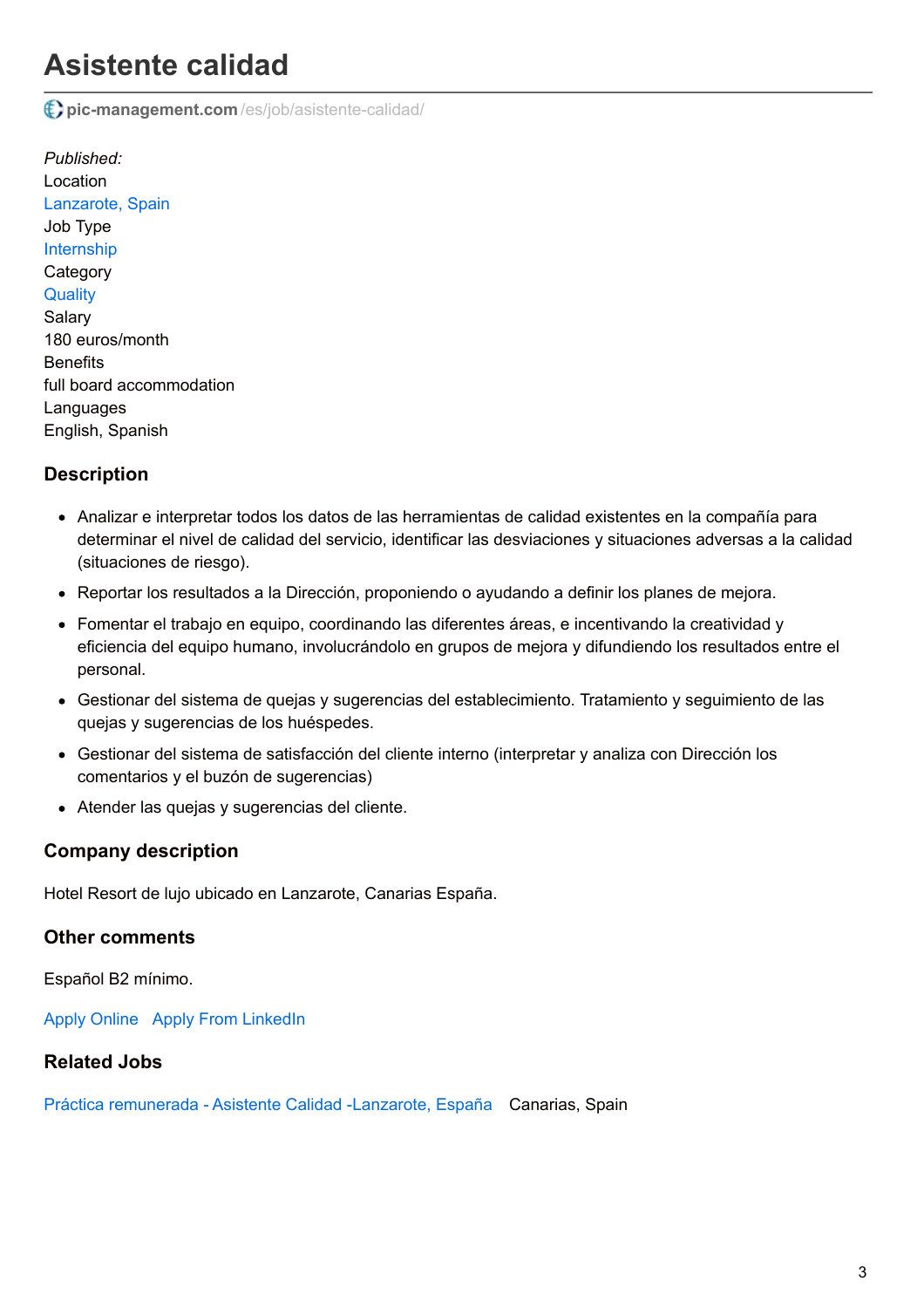# **Asistente calidad**

**pic-management.com** [/es/job/asistente-calidad/](http://www.pic-management.com/es/job/asistente-calidad/)

*Published:* Location [Lanzarote, Spain](https://www.google.com/maps/embed/v1/place?key=AIzaSyCczTP8nhcRK_FOj-OF9MbsUnrXVxoiM24&q=Lanzarote%2C+%2C+%2C+Spain&zoom=15) Job Type [Internship](http://www.pic-management.com/es/candidatos/estudiantes/ofertas-de-practicas/type/internship/) **Category [Quality](http://www.pic-management.com/es/candidatos/estudiantes/ofertas-de-practicas/category/quality/)** Salary 180 euros/month **Benefits** full board accommodation **Languages** English, Spanish

## **Description**

- Analizar e interpretar todos los datos de las herramientas de calidad existentes en la compañía para determinar el nivel de calidad del servicio, identificar las desviaciones y situaciones adversas a la calidad (situaciones de riesgo).
- Reportar los resultados a la Dirección, proponiendo o ayudando a definir los planes de mejora.
- Fomentar el trabajo en equipo, coordinando las diferentes áreas, e incentivando la creatividad y eficiencia del equipo humano, involucrándolo en grupos de mejora y difundiendo los resultados entre el personal.
- Gestionar del sistema de quejas y sugerencias del establecimiento. Tratamiento y seguimiento de las quejas y sugerencias de los huéspedes.
- Gestionar del sistema de satisfacción del cliente interno (interpretar y analiza con Dirección los comentarios y el buzón de sugerencias)
- Atender las quejas y sugerencias del cliente.

### **Company description**

Hotel Resort de lujo ubicado en Lanzarote, Canarias España.

### **Other comments**

Español B2 mínimo.

[Apply Online](http://www.pic-management.com/es/job/asistente-calidad/?form=apply#wpjb-scroll) Apply From LinkedIn

### **Related Jobs**

[Práctica remunerada - Asistente Calidad -Lanzarote, España](http://www.pic-management.com/es/job/practica-asistente-calidad-lanzarote/) Canarias, Spain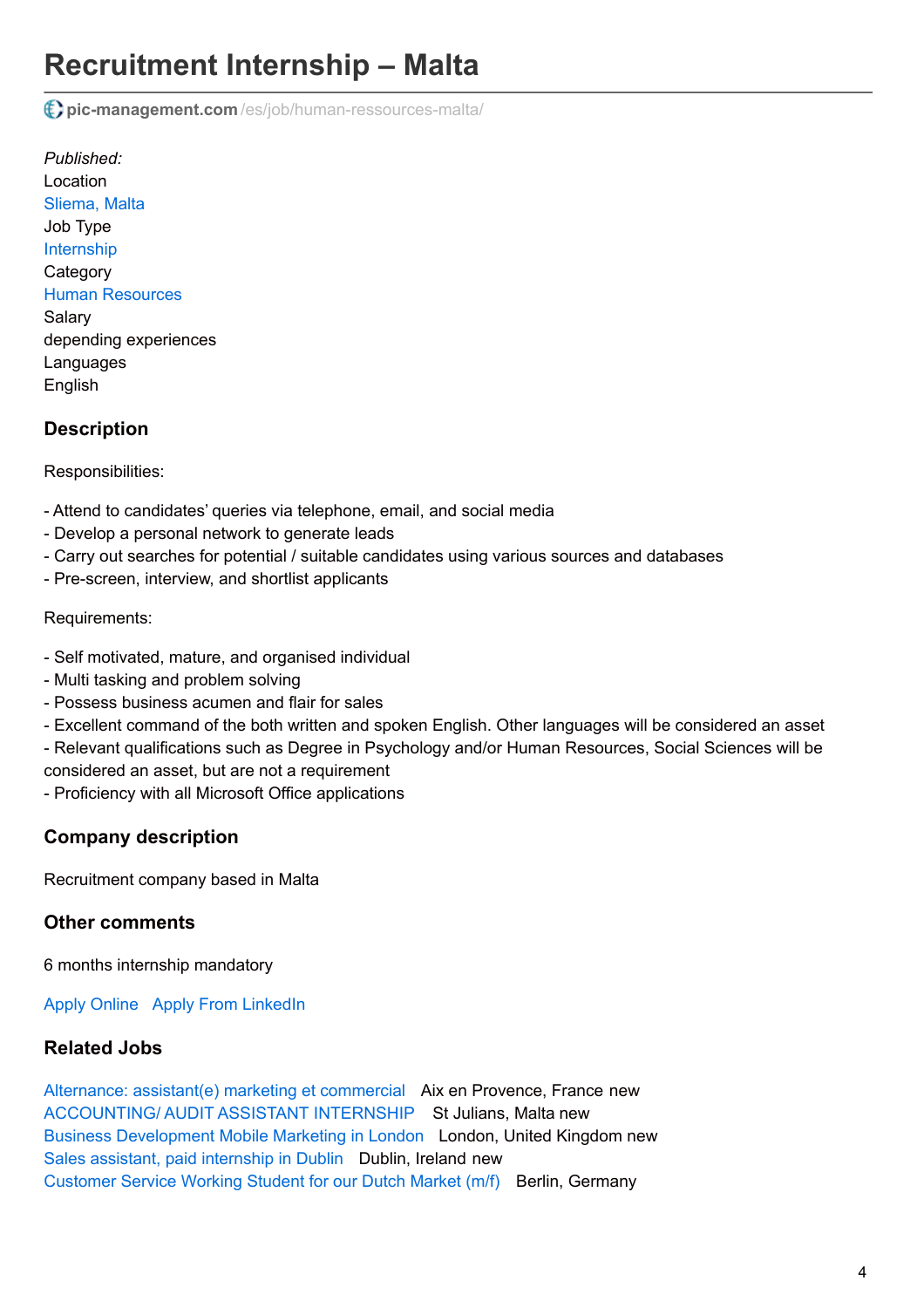# **Recruitment Internship – Malta**

**pic-management.com** [/es/job/human-ressources-malta/](http://www.pic-management.com/es/job/human-ressources-malta/)

*Published:* Location [Sliema, Malta](https://www.google.com/maps/embed/v1/place?key=AIzaSyCczTP8nhcRK_FOj-OF9MbsUnrXVxoiM24&q=Sliema%2C+%2C+%2C+Malta&zoom=15) Job Type [Internship](http://www.pic-management.com/es/candidatos/estudiantes/ofertas-de-practicas/type/internship/) **Category** [Human Resources](http://www.pic-management.com/es/candidatos/estudiantes/ofertas-de-practicas/category/human-resources/) Salary depending experiences Languages English

# **Description**

Responsibilities:

- Attend to candidates' queries via telephone, email, and social media
- Develop a personal network to generate leads
- Carry out searches for potential / suitable candidates using various sources and databases
- Pre-screen, interview, and shortlist applicants

#### Requirements:

- Self motivated, mature, and organised individual
- Multi tasking and problem solving
- Possess business acumen and flair for sales
- Excellent command of the both written and spoken English. Other languages will be considered an asset
- Relevant qualifications such as Degree in Psychology and/or Human Resources, Social Sciences will be
- considered an asset, but are not a requirement
- Proficiency with all Microsoft Office applications

# **Company description**

Recruitment company based in Malta

# **Other comments**

6 months internship mandatory

[Apply Online](http://www.pic-management.com/es/job/human-ressources-malta/?form=apply#wpjb-scroll) Apply From LinkedIn

# **Related Jobs**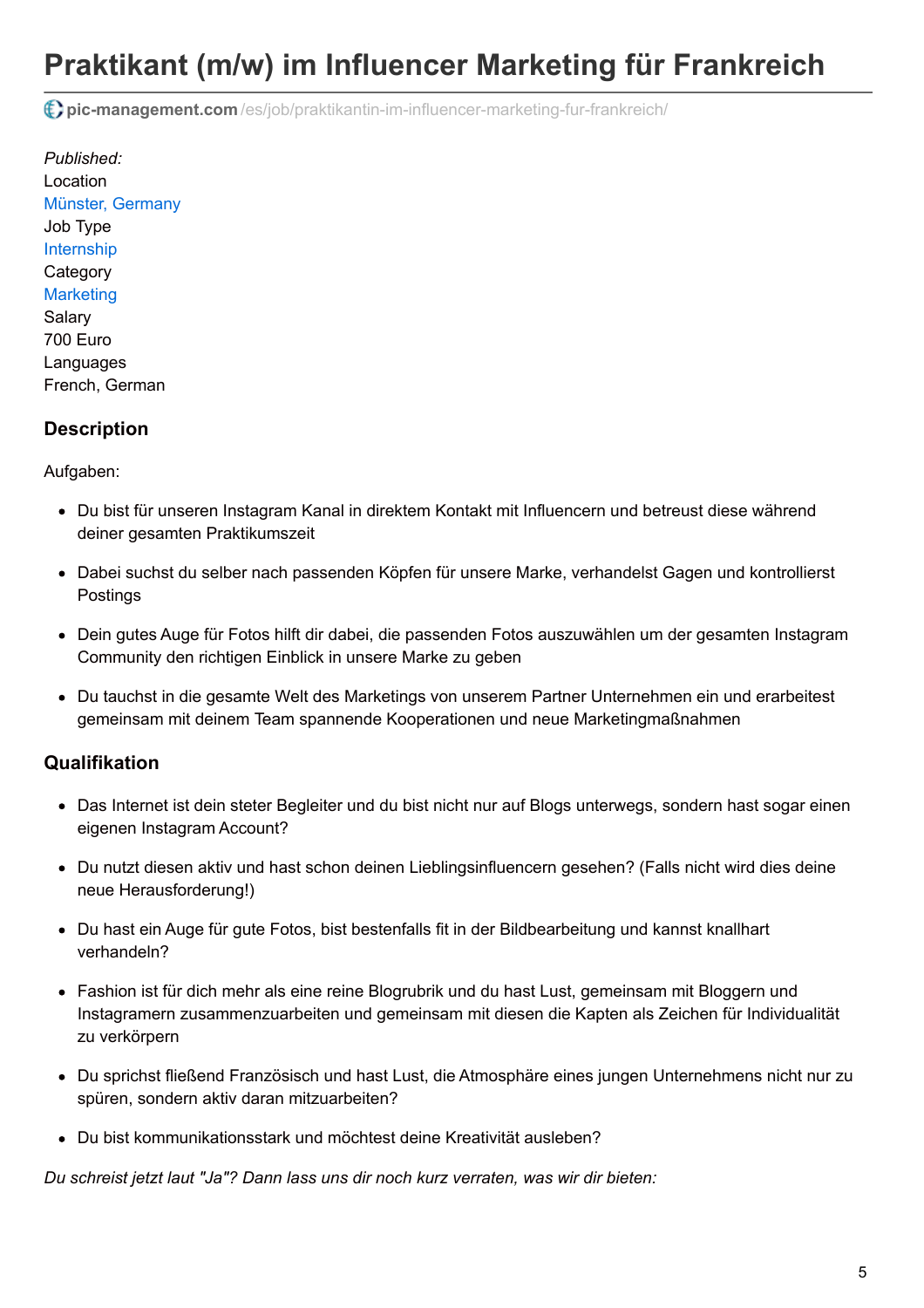# **Praktikant (m/w) im Influencer Marketing für Frankreich**

**pic-management.com** [/es/job/praktikantin-im-influencer-marketing-fur-frankreich/](http://www.pic-management.com/es/job/praktikantin-im-influencer-marketing-fur-frankreich/)

*Published:* Location [Münster, Germany](https://www.google.com/maps/embed/v1/place?key=AIzaSyCczTP8nhcRK_FOj-OF9MbsUnrXVxoiM24&q=M%C3%BCnster%2C+%2C+%2C+Germany&zoom=15) Job Type [Internship](http://www.pic-management.com/es/candidatos/estudiantes/ofertas-de-practicas/type/internship/) **Category [Marketing](http://www.pic-management.com/es/candidatos/estudiantes/ofertas-de-practicas/category/marketing/)** Salary 700 Euro Languages French, German

## **Description**

Aufgaben:

- Du bist für unseren Instagram Kanal in direktem Kontakt mit Influencern und betreust diese während deiner gesamten Praktikumszeit
- Dabei suchst du selber nach passenden Köpfen für unsere Marke, verhandelst Gagen und kontrollierst Postings
- Dein gutes Auge für Fotos hilft dir dabei, die passenden Fotos auszuwählen um der gesamten Instagram Community den richtigen Einblick in unsere Marke zu geben
- Du tauchst in die gesamte Welt des Marketings von unserem Partner Unternehmen ein und erarbeitest gemeinsam mit deinem Team spannende Kooperationen und neue Marketingmaßnahmen

## **Qualifikation**

- Das Internet ist dein steter Begleiter und du bist nicht nur auf Blogs unterwegs, sondern hast sogar einen eigenen Instagram Account?
- Du nutzt diesen aktiv und hast schon deinen Lieblingsinfluencern gesehen? (Falls nicht wird dies deine neue Herausforderung!)
- Du hast ein Auge für gute Fotos, bist bestenfalls fit in der Bildbearbeitung und kannst knallhart verhandeln?
- Fashion ist für dich mehr als eine reine Blogrubrik und du hast Lust, gemeinsam mit Bloggern und Instagramern zusammenzuarbeiten und gemeinsam mit diesen die Kapten als Zeichen für Individualität zu verkörpern
- Du sprichst fließend Französisch und hast Lust, die Atmosphäre eines jungen Unternehmens nicht nur zu spüren, sondern aktiv daran mitzuarbeiten?
- Du bist kommunikationsstark und möchtest deine Kreativität ausleben?

*Du schreist jetzt laut "Ja"? Dann lass uns dir noch kurz verraten, was wir dir bieten:*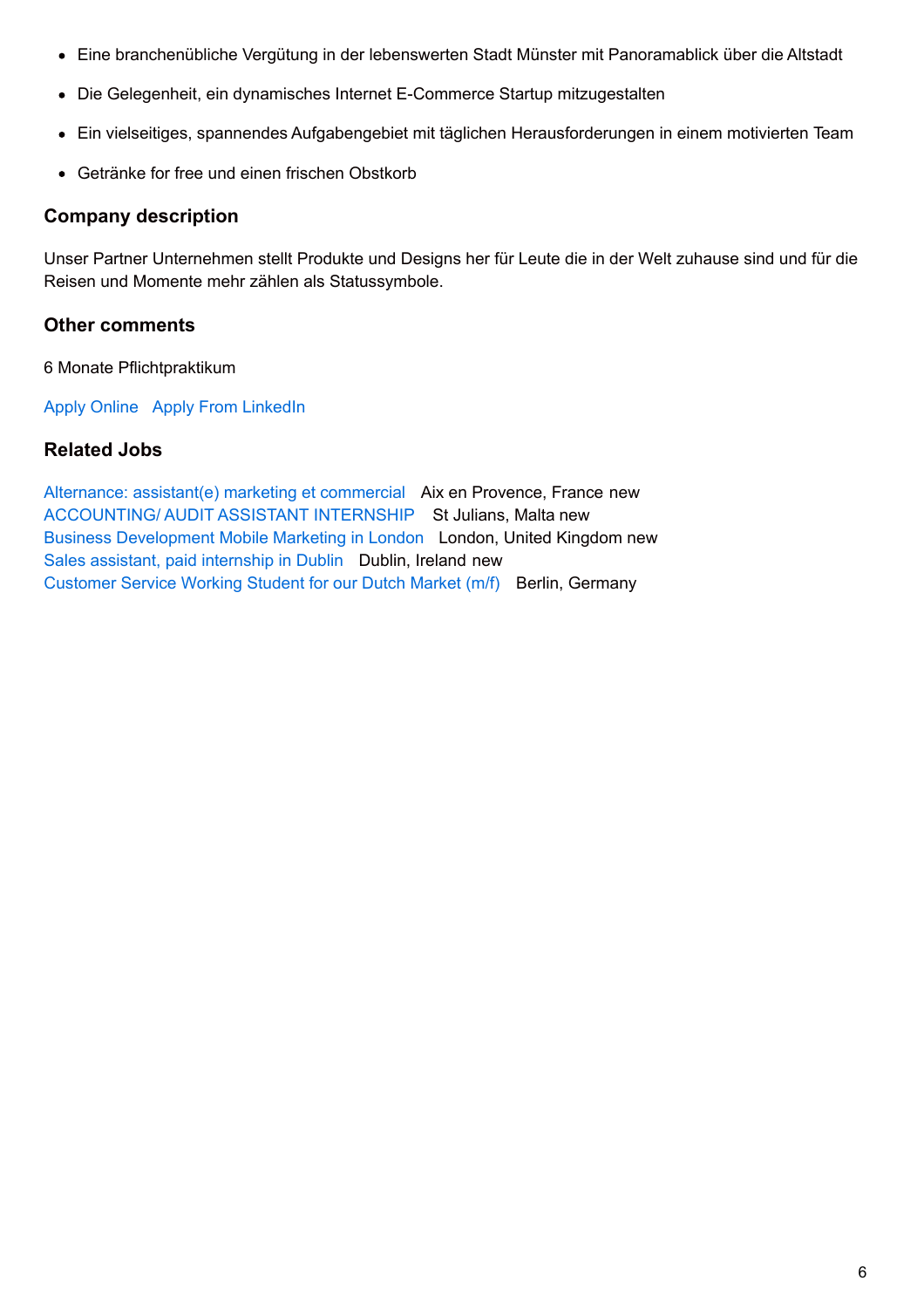- Eine branchenübliche Vergütung in der lebenswerten Stadt Münster mit Panoramablick über die Altstadt
- Die Gelegenheit, ein dynamisches Internet E-Commerce Startup mitzugestalten
- Ein vielseitiges, spannendes Aufgabengebiet mit täglichen Herausforderungen in einem motivierten Team
- Getränke for free und einen frischen Obstkorb

### **Company description**

Unser Partner Unternehmen stellt Produkte und Designs her für Leute die in der Welt zuhause sind und für die Reisen und Momente mehr zählen als Statussymbole.

## **Other comments**

6 Monate Pflichtpraktikum

[Apply Online](http://www.pic-management.com/es/job/praktikantin-im-influencer-marketing-fur-frankreich/?form=apply#wpjb-scroll) Apply From LinkedIn

## **Related Jobs**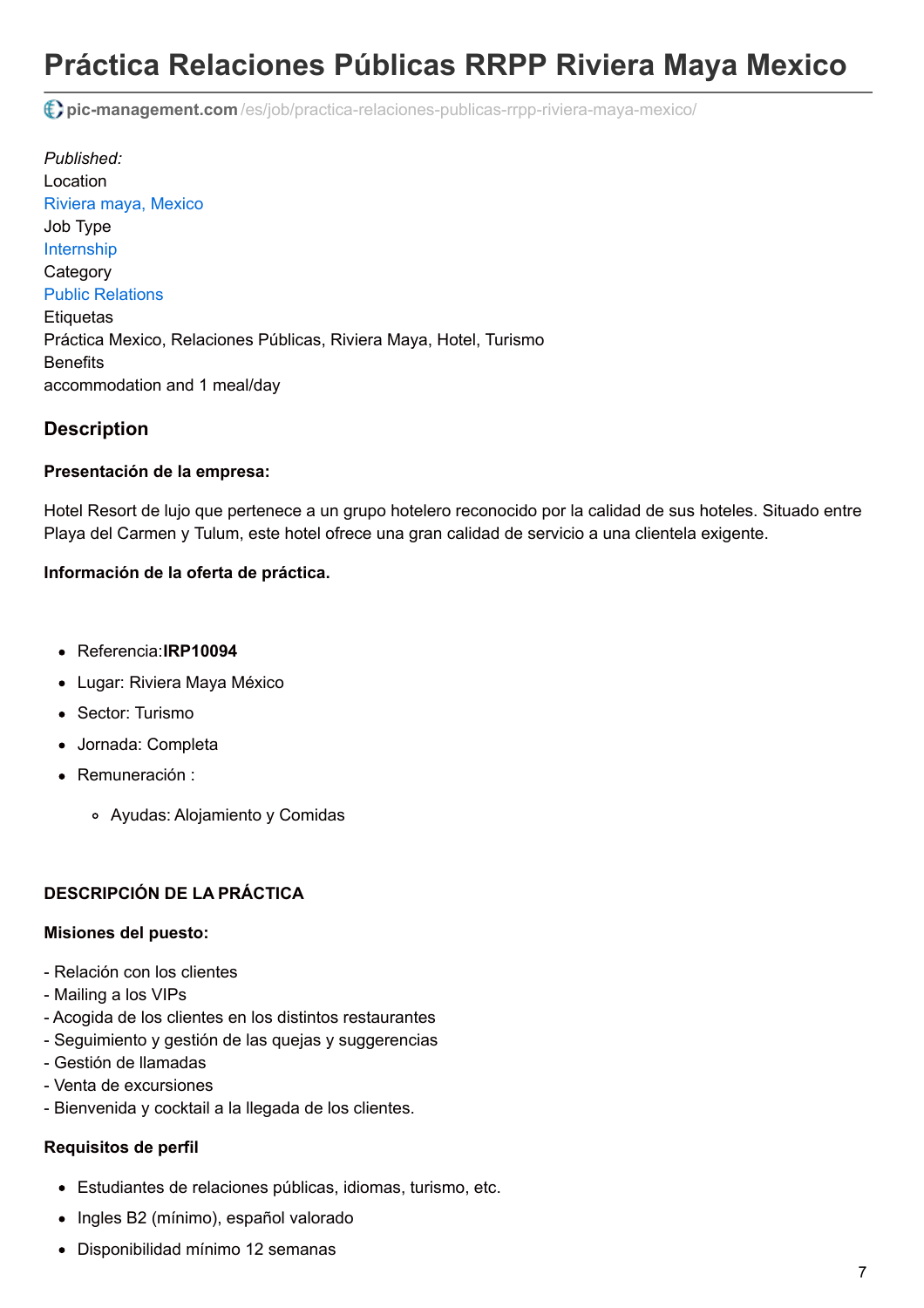# **Práctica Relaciones Públicas RRPP Riviera Maya Mexico**

**pic-management.com** [/es/job/practica-relaciones-publicas-rrpp-riviera-maya-mexico/](http://www.pic-management.com/es/job/practica-relaciones-publicas-rrpp-riviera-maya-mexico/)

*Published:* Location [Riviera maya, Mexico](https://www.google.com/maps/embed/v1/place?key=AIzaSyCczTP8nhcRK_FOj-OF9MbsUnrXVxoiM24&q=Riviera+maya%2C+%2C+%2C+Mexico&zoom=15) Job Type [Internship](http://www.pic-management.com/es/candidatos/estudiantes/ofertas-de-practicas/type/internship/) **Category** [Public Relations](http://www.pic-management.com/es/candidatos/estudiantes/ofertas-de-practicas/category/public-relations/) **Etiquetas** Práctica Mexico, Relaciones Públicas, Riviera Maya, Hotel, Turismo **Benefits** accommodation and 1 meal/day

## **Description**

#### **Presentación de la empresa:**

Hotel Resort de lujo que pertenece a un grupo hotelero reconocido por la calidad de sus hoteles. Situado entre Playa del Carmen y Tulum, este hotel ofrece una gran calidad de servicio a una clientela exigente.

### **Información de la oferta de práctica.**

- Referencia:**IRP10094**
- Lugar: Riviera Maya México
- Sector: Turismo
- Jornada: Completa
- Remuneración :
	- Ayudas: Alojamiento y Comidas

### **DESCRIPCIÓN DE LA PRÁCTICA**

#### **Misiones del puesto:**

- Relación con los clientes
- Mailing a los VIPs
- Acogida de los clientes en los distintos restaurantes
- Seguimiento y gestión de las quejas y suggerencias
- Gestión de llamadas
- Venta de excursiones
- Bienvenida y cocktail a la llegada de los clientes.

#### **Requisitos de perfil**

- Estudiantes de relaciones públicas, idiomas, turismo, etc.
- Ingles B2 (mínimo), español valorado
- Disponibilidad mínimo 12 semanas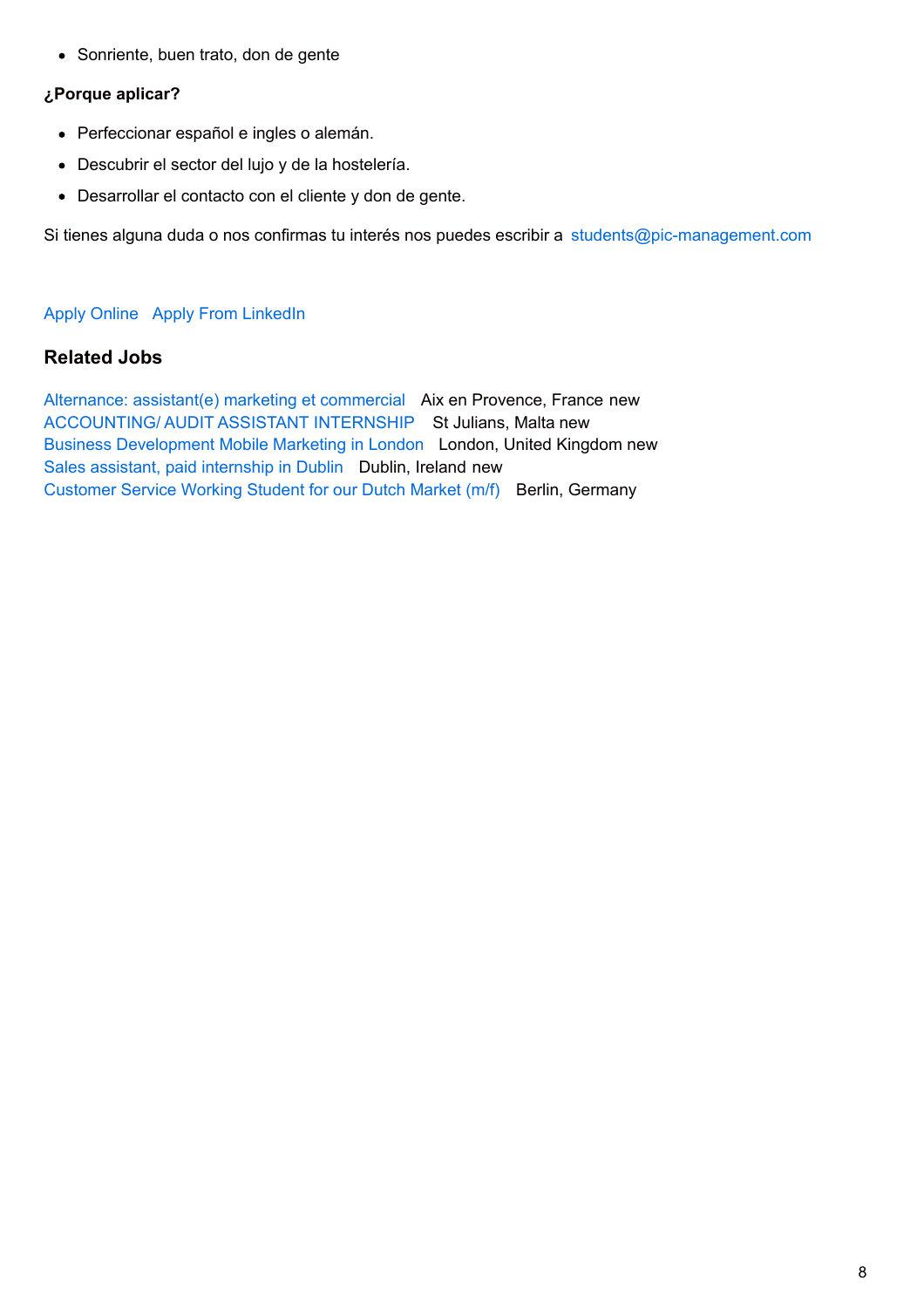• Sonriente, buen trato, don de gente

#### **¿Porque aplicar?**

- Perfeccionar español e ingles o alemán.
- Descubrir el sector del lujo y de la hostelería.
- Desarrollar el contacto con el cliente y don de gente.

Si tienes alguna duda o nos confirmas tu interés nos puedes escribir a [students@pic-management.com](mailto:students@pic-management.com)

#### [Apply Online](http://www.pic-management.com/es/job/practica-relaciones-publicas-rrpp-riviera-maya-mexico/?form=apply#wpjb-scroll) Apply From LinkedIn

## **Related Jobs**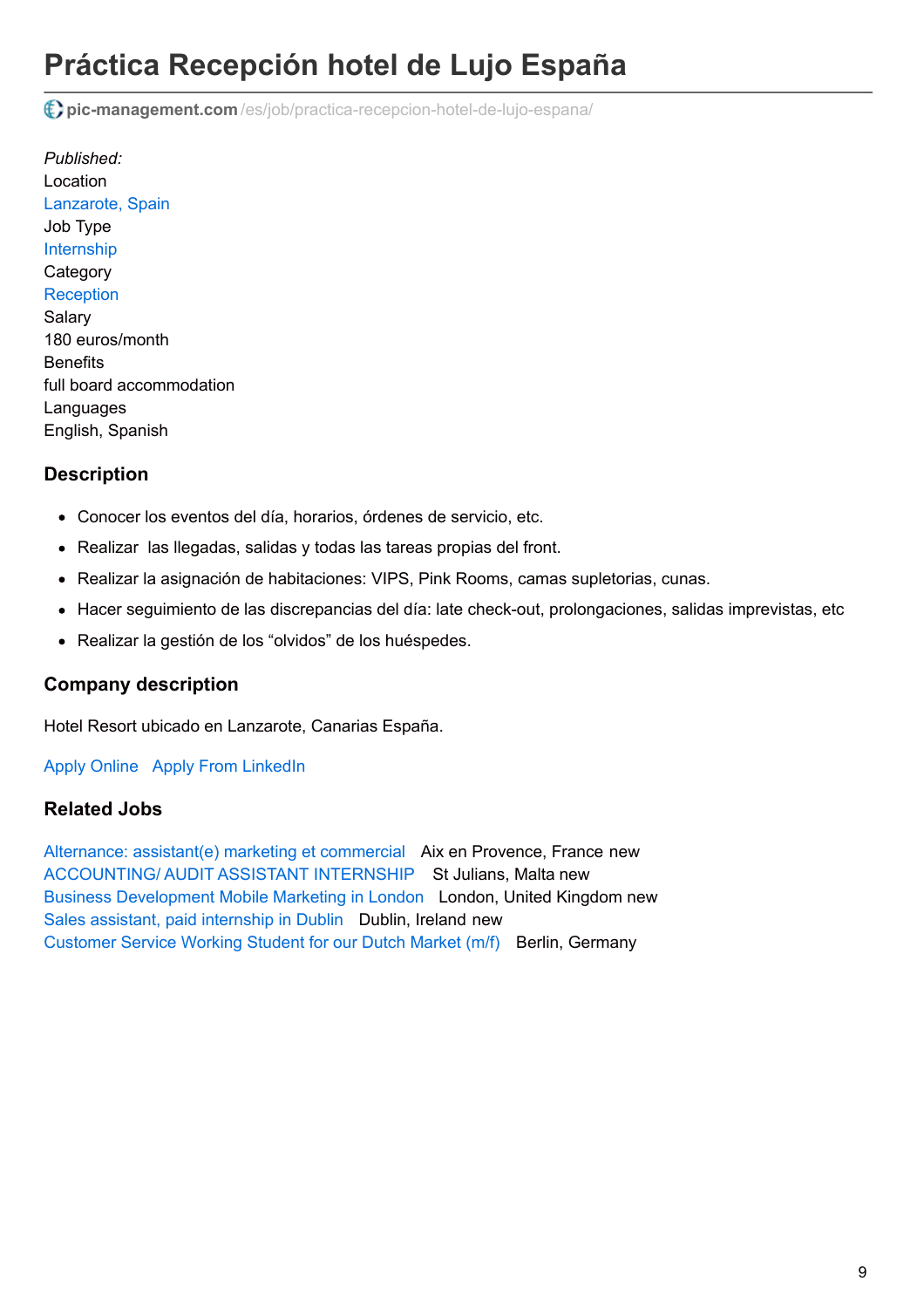# **Práctica Recepción hotel de Lujo España**

**pic-management.com** [/es/job/practica-recepcion-hotel-de-lujo-espana/](http://www.pic-management.com/es/job/practica-recepcion-hotel-de-lujo-espana/)

*Published:* Location [Lanzarote, Spain](https://www.google.com/maps/embed/v1/place?key=AIzaSyCczTP8nhcRK_FOj-OF9MbsUnrXVxoiM24&q=Lanzarote%2C+%2C+%2C+Spain&zoom=15) Job Type [Internship](http://www.pic-management.com/es/candidatos/estudiantes/ofertas-de-practicas/type/internship/) **Category [Reception](http://www.pic-management.com/es/candidatos/estudiantes/ofertas-de-practicas/category/reception/)** Salary 180 euros/month **Benefits** full board accommodation Languages English, Spanish

## **Description**

- Conocer los eventos del día, horarios, órdenes de servicio, etc.
- Realizar las llegadas, salidas y todas las tareas propias del front.
- Realizar la asignación de habitaciones: VIPS, Pink Rooms, camas supletorias, cunas.
- Hacer seguimiento de las discrepancias del día: late check-out, prolongaciones, salidas imprevistas, etc
- Realizar la gestión de los "olvidos" de los huéspedes.

### **Company description**

Hotel Resort ubicado en Lanzarote, Canarias España.

[Apply Online](http://www.pic-management.com/es/job/practica-recepcion-hotel-de-lujo-espana/?form=apply#wpjb-scroll) Apply From LinkedIn

### **Related Jobs**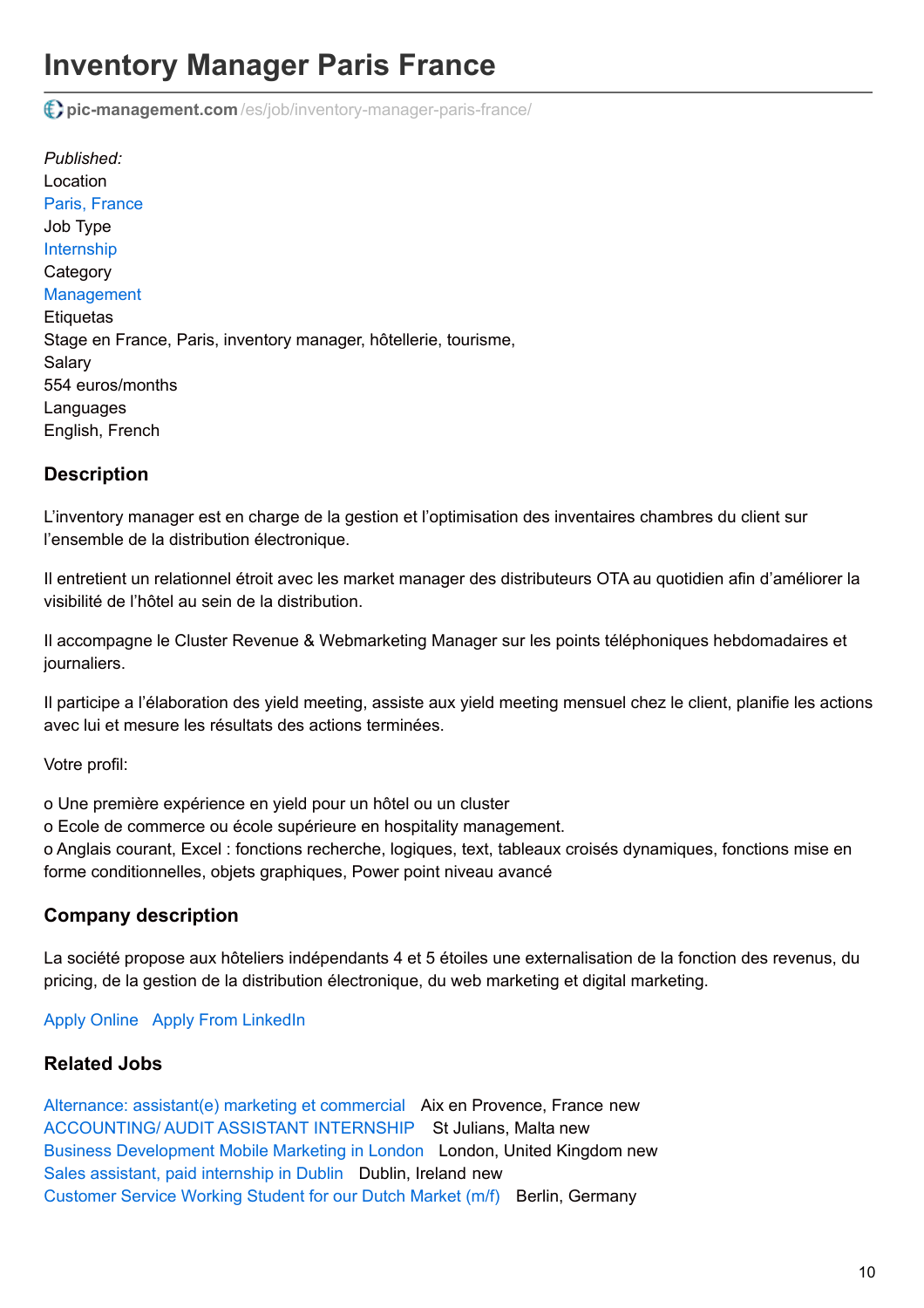# **Inventory Manager Paris France**

**pic-management.com** [/es/job/inventory-manager-paris-france/](http://www.pic-management.com/es/job/inventory-manager-paris-france/)

*Published:* Location [Paris, France](https://www.google.com/maps/embed/v1/place?key=AIzaSyCczTP8nhcRK_FOj-OF9MbsUnrXVxoiM24&q=Paris%2C+%2C+%2C+France&zoom=15) Job Type [Internship](http://www.pic-management.com/es/candidatos/estudiantes/ofertas-de-practicas/type/internship/) **Category [Management](http://www.pic-management.com/es/candidatos/estudiantes/ofertas-de-practicas/category/management/) Etiquetas** Stage en France, Paris, inventory manager, hôtellerie, tourisme, Salary 554 euros/months **Languages** English, French

## **Description**

L'inventory manager est en charge de la gestion et l'optimisation des inventaires chambres du client sur l'ensemble de la distribution électronique.

Il entretient un relationnel étroit avec les market manager des distributeurs OTA au quotidien afin d'améliorer la visibilité de l'hôtel au sein de la distribution.

Il accompagne le Cluster Revenue & Webmarketing Manager sur les points téléphoniques hebdomadaires et journaliers.

Il participe a l'élaboration des yield meeting, assiste aux yield meeting mensuel chez le client, planifie les actions avec lui et mesure les résultats des actions terminées.

Votre profil:

o Une première expérience en yield pour un hôtel ou un cluster

o Ecole de commerce ou école supérieure en hospitality management.

o Anglais courant, Excel : fonctions recherche, logiques, text, tableaux croisés dynamiques, fonctions mise en forme conditionnelles, objets graphiques, Power point niveau avancé

## **Company description**

La société propose aux hôteliers indépendants 4 et 5 étoiles une externalisation de la fonction des revenus, du pricing, de la gestion de la distribution électronique, du web marketing et digital marketing.

### [Apply Online](http://www.pic-management.com/es/job/inventory-manager-paris-france/?form=apply#wpjb-scroll) Apply From LinkedIn

## **Related Jobs**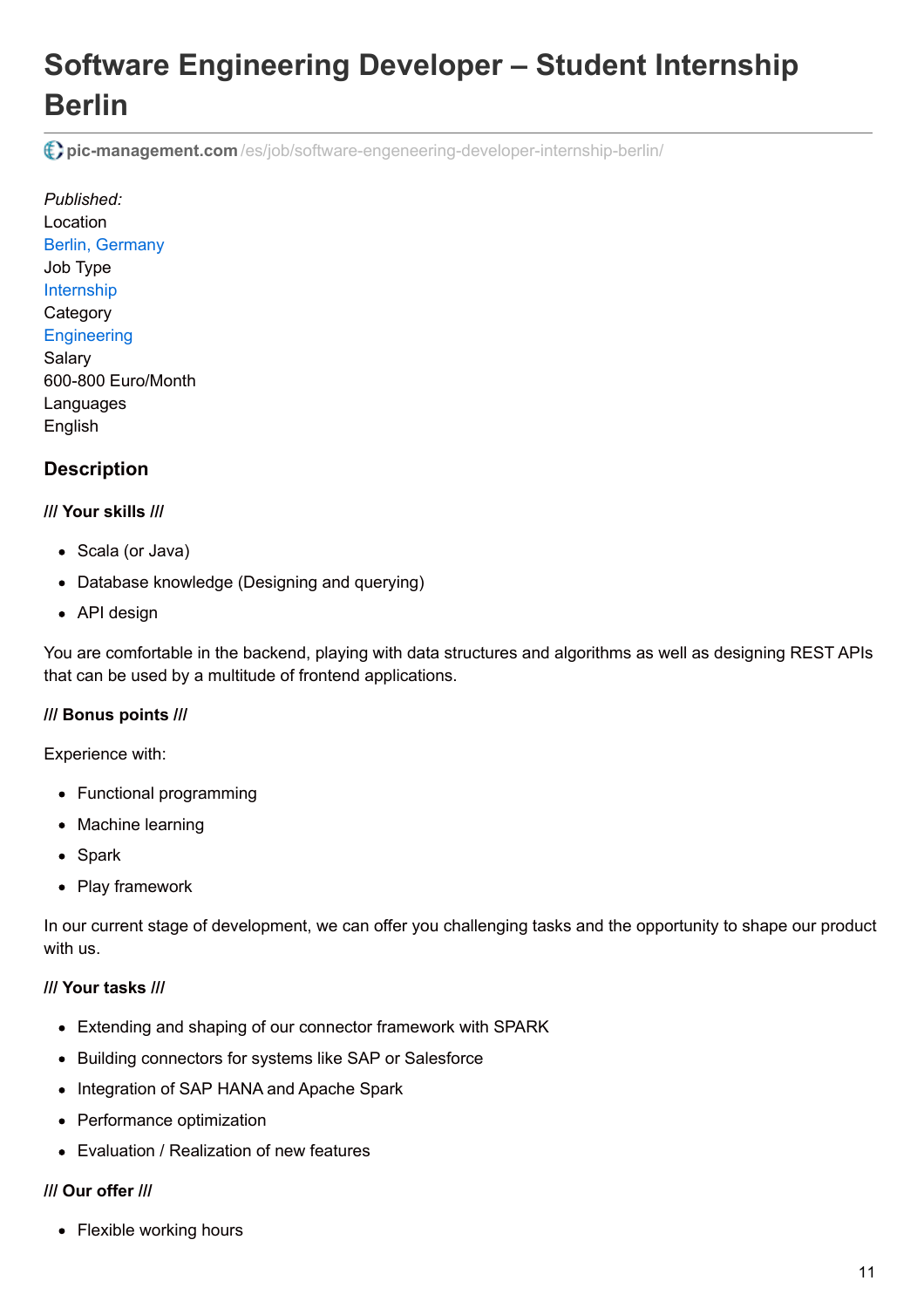# **Software Engineering Developer – Student Internship Berlin**

**pic-management.com** [/es/job/software-engeneering-developer-internship-berlin/](http://www.pic-management.com/es/job/software-engeneering-developer-internship-berlin/)

*Published:* Location [Berlin, Germany](https://www.google.com/maps/embed/v1/place?key=AIzaSyCczTP8nhcRK_FOj-OF9MbsUnrXVxoiM24&q=Berlin%2C+%2C+%2C+Germany&zoom=15) Job Type [Internship](http://www.pic-management.com/es/candidatos/estudiantes/ofertas-de-practicas/type/internship/) **Category [Engineering](http://www.pic-management.com/es/candidatos/estudiantes/ofertas-de-practicas/category/engineering/)** Salary 600-800 Euro/Month Languages English

# **Description**

### **/// Your skills ///**

- Scala (or Java)
- Database knowledge (Designing and querying)
- API design

You are comfortable in the backend, playing with data structures and algorithms as well as designing REST APIs that can be used by a multitude of frontend applications.

### **/// Bonus points ///**

Experience with:

- Functional programming
- Machine learning
- Spark
- Play framework

In our current stage of development, we can offer you challenging tasks and the opportunity to shape our product with us.

### **/// Your tasks ///**

- Extending and shaping of our connector framework with SPARK
- Building connectors for systems like SAP or Salesforce
- Integration of SAP HANA and Apache Spark
- Performance optimization
- Evaluation / Realization of new features

### **/// Our offer ///**

• Flexible working hours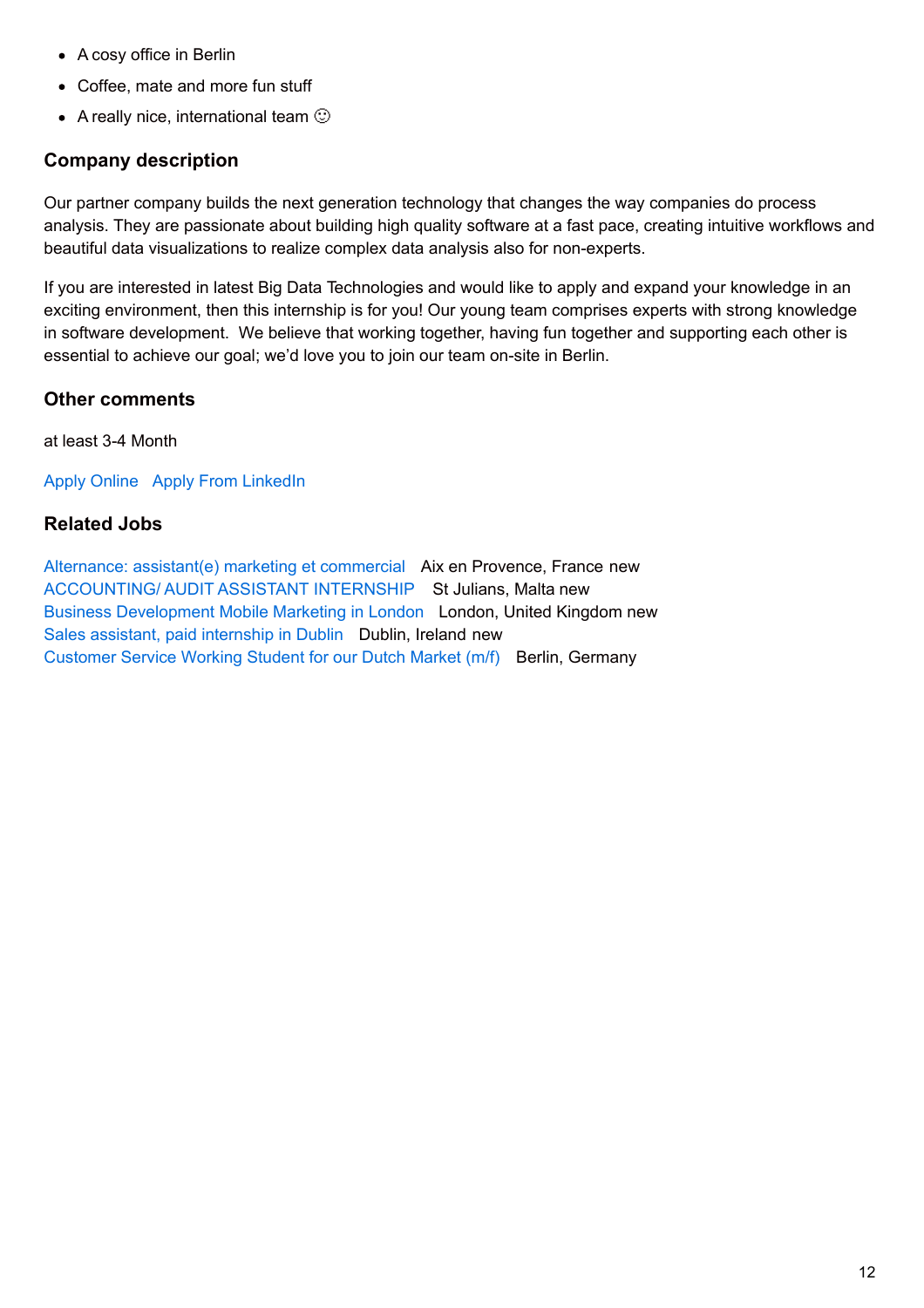- A cosy office in Berlin
- Coffee, mate and more fun stuff
- A really nice, international team  $\odot$

## **Company description**

Our partner company builds the next generation technology that changes the way companies do process analysis. They are passionate about building high quality software at a fast pace, creating intuitive workflows and beautiful data visualizations to realize complex data analysis also for non-experts.

If you are interested in latest Big Data Technologies and would like to apply and expand your knowledge in an exciting environment, then this internship is for you! Our young team comprises experts with strong knowledge in software development. We believe that working together, having fun together and supporting each other is essential to achieve our goal; we'd love you to join our team on-site in Berlin.

## **Other comments**

at least 3-4 Month

[Apply Online](http://www.pic-management.com/es/job/software-engeneering-developer-internship-berlin/?form=apply#wpjb-scroll) Apply From LinkedIn

## **Related Jobs**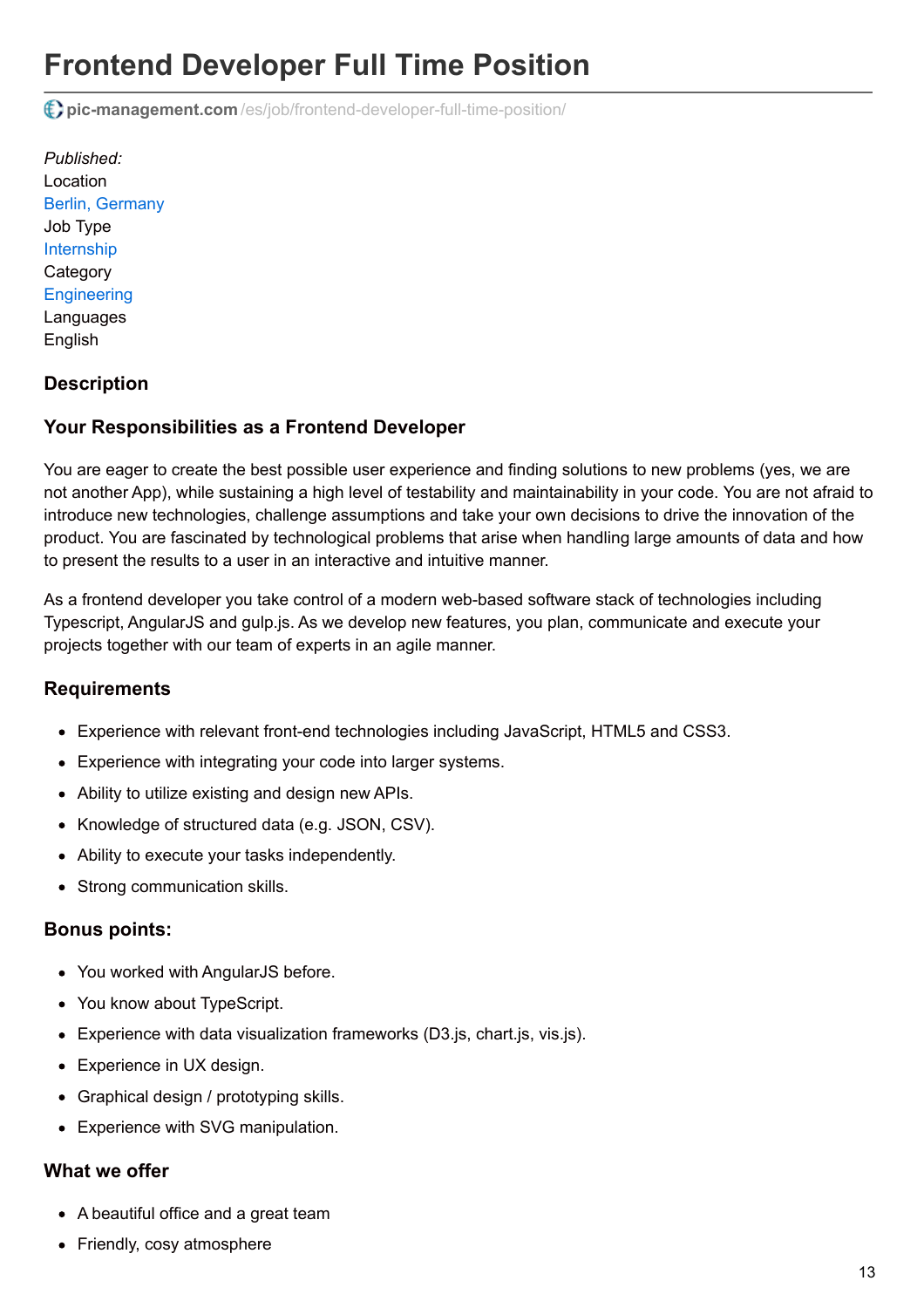# **Frontend Developer Full Time Position**

**pic-management.com** [/es/job/frontend-developer-full-time-position/](http://www.pic-management.com/es/job/frontend-developer-full-time-position/)

*Published:* Location [Berlin, Germany](https://www.google.com/maps/embed/v1/place?key=AIzaSyCczTP8nhcRK_FOj-OF9MbsUnrXVxoiM24&q=Berlin%2C+%2C+%2C+Germany&zoom=15) Job Type [Internship](http://www.pic-management.com/es/candidatos/estudiantes/ofertas-de-practicas/type/internship/) **Category [Engineering](http://www.pic-management.com/es/candidatos/estudiantes/ofertas-de-practicas/category/engineering/) Languages** English

### **Description**

### **Your Responsibilities as a Frontend Developer**

You are eager to create the best possible user experience and finding solutions to new problems (yes, we are not another App), while sustaining a high level of testability and maintainability in your code. You are not afraid to introduce new technologies, challenge assumptions and take your own decisions to drive the innovation of the product. You are fascinated by technological problems that arise when handling large amounts of data and how to present the results to a user in an interactive and intuitive manner.

As a frontend developer you take control of a modern web-based software stack of technologies including Typescript, AngularJS and gulp.js. As we develop new features, you plan, communicate and execute your projects together with our team of experts in an agile manner.

### **Requirements**

- Experience with relevant front-end technologies including JavaScript, HTML5 and CSS3.
- Experience with integrating your code into larger systems.
- Ability to utilize existing and design new APIs.
- Knowledge of structured data (e.g. JSON, CSV).
- Ability to execute your tasks independently.
- Strong communication skills.

#### **Bonus points:**

- You worked with AngularJS before.
- You know about TypeScript.
- Experience with data visualization frameworks (D3.js, chart.js, vis.js).
- Experience in UX design.
- Graphical design / prototyping skills.
- Experience with SVG manipulation.

#### **What we offer**

- A beautiful office and a great team
- Friendly, cosy atmosphere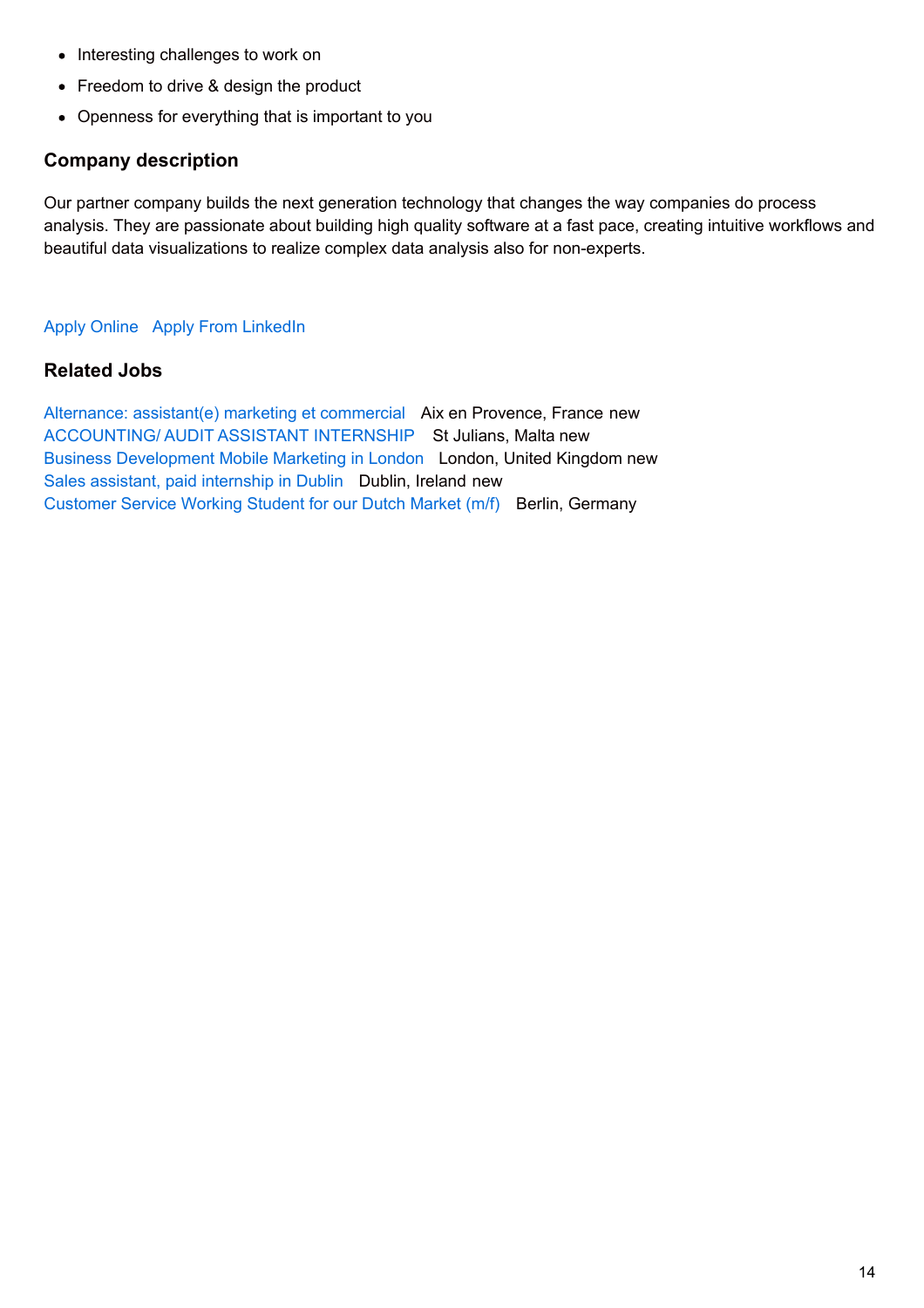- Interesting challenges to work on
- Freedom to drive & design the product
- Openness for everything that is important to you

## **Company description**

Our partner company builds the next generation technology that changes the way companies do process analysis. They are passionate about building high quality software at a fast pace, creating intuitive workflows and beautiful data visualizations to realize complex data analysis also for non-experts.

#### [Apply Online](http://www.pic-management.com/es/job/frontend-developer-full-time-position/?form=apply#wpjb-scroll) Apply From LinkedIn

### **Related Jobs**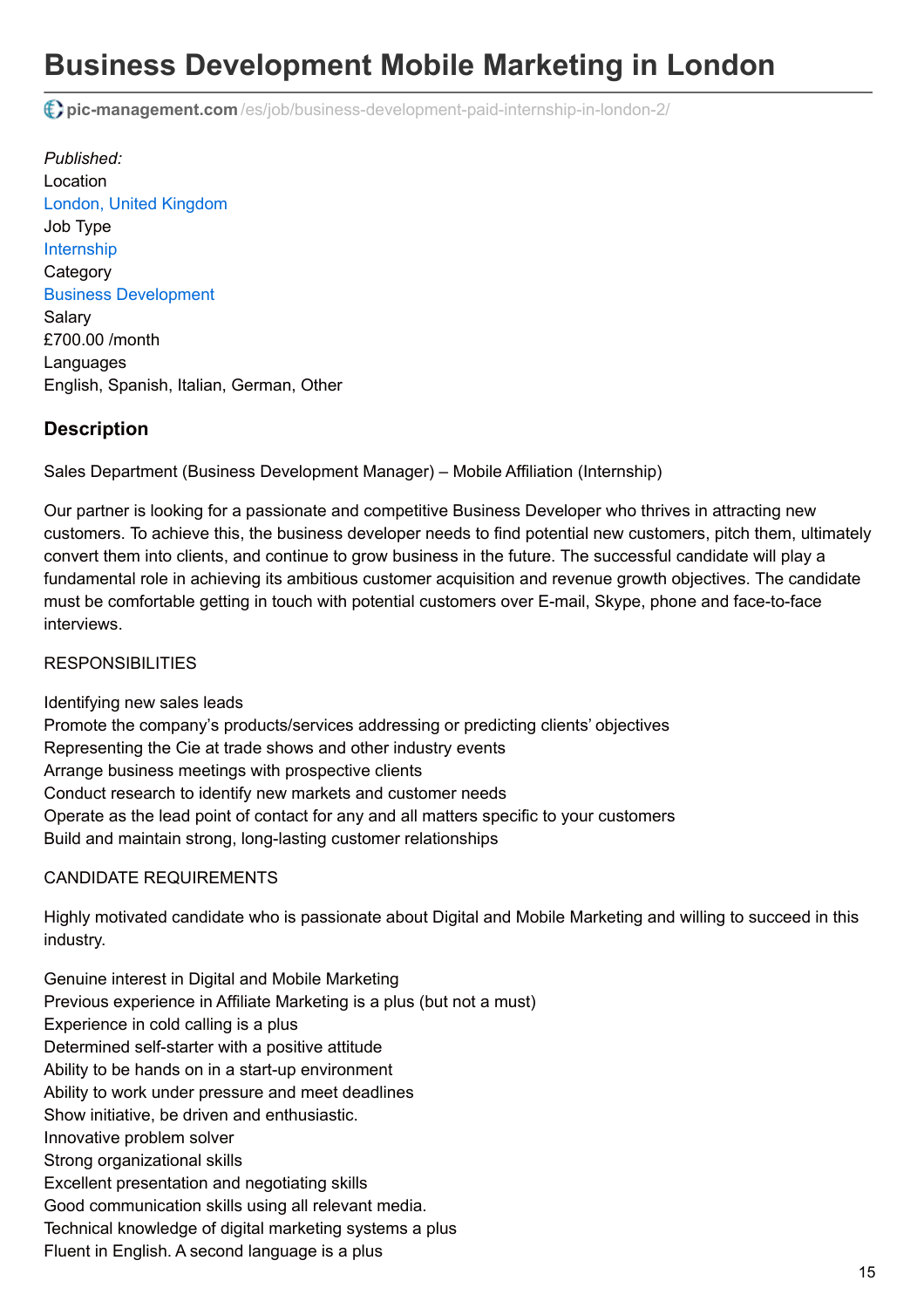# **Business Development Mobile Marketing in London**

**pic-management.com** [/es/job/business-development-paid-internship-in-london-2/](http://www.pic-management.com/es/job/business-development-paid-internship-in-london-2/)

*Published:* Location [London, United Kingdom](https://www.google.com/maps/embed/v1/place?key=AIzaSyCczTP8nhcRK_FOj-OF9MbsUnrXVxoiM24&q=London%2C+%2C+%2C+United+Kingdom&zoom=15) Job Type [Internship](http://www.pic-management.com/es/candidatos/estudiantes/ofertas-de-practicas/type/internship/) **Category** [Business Development](http://www.pic-management.com/es/candidatos/estudiantes/ofertas-de-practicas/category/business-development/) Salary £700.00 /month Languages English, Spanish, Italian, German, Other

## **Description**

Sales Department (Business Development Manager) – Mobile Affiliation (Internship)

Our partner is looking for a passionate and competitive Business Developer who thrives in attracting new customers. To achieve this, the business developer needs to find potential new customers, pitch them, ultimately convert them into clients, and continue to grow business in the future. The successful candidate will play a fundamental role in achieving its ambitious customer acquisition and revenue growth objectives. The candidate must be comfortable getting in touch with potential customers over E-mail, Skype, phone and face-to-face interviews.

#### **RESPONSIBILITIES**

Identifying new sales leads Promote the company's products/services addressing or predicting clients' objectives Representing the Cie at trade shows and other industry events Arrange business meetings with prospective clients Conduct research to identify new markets and customer needs Operate as the lead point of contact for any and all matters specific to your customers Build and maintain strong, long-lasting customer relationships

#### CANDIDATE REQUIREMENTS

Highly motivated candidate who is passionate about Digital and Mobile Marketing and willing to succeed in this industry.

Genuine interest in Digital and Mobile Marketing Previous experience in Affiliate Marketing is a plus (but not a must) Experience in cold calling is a plus Determined self-starter with a positive attitude Ability to be hands on in a start-up environment Ability to work under pressure and meet deadlines Show initiative, be driven and enthusiastic. Innovative problem solver Strong organizational skills Excellent presentation and negotiating skills Good communication skills using all relevant media. Technical knowledge of digital marketing systems a plus Fluent in English. A second language is a plus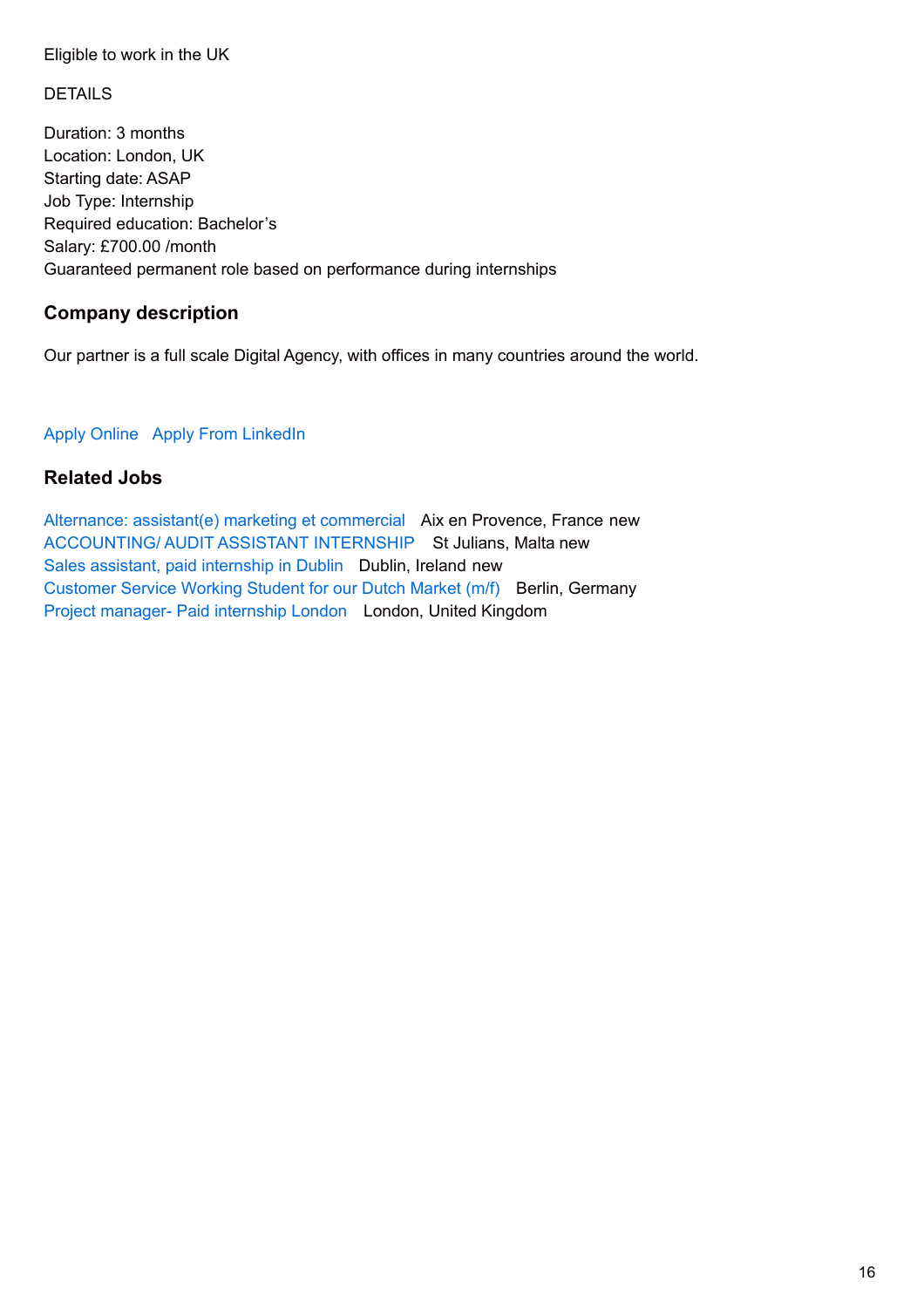#### Eligible to work in the UK

### DETAILS

Duration: 3 months Location: London, UK Starting date: ASAP Job Type: Internship Required education: Bachelor's Salary: £700.00 /month Guaranteed permanent role based on performance during internships

## **Company description**

Our partner is a full scale Digital Agency, with offices in many countries around the world.

#### [Apply Online](http://www.pic-management.com/es/job/business-development-paid-internship-in-london-2/?form=apply#wpjb-scroll) Apply From LinkedIn

## **Related Jobs**

[Alternance: assistant\(e\) marketing et commercial](http://www.pic-management.com/es/job/alternance-assistante-marketing-et-commercial/) Aix en Provence, France new [ACCOUNTING/ AUDIT ASSISTANT INTERNSHIP](http://www.pic-management.com/es/job/accounting-audit-assistant-internship/) St Julians, Malta new [Sales assistant, paid internship in Dublin](http://www.pic-management.com/es/job/sales-assitant-in-dublin-1-year/) Dublin, Ireland new [Customer Service Working Student for our Dutch Market \(m/f\)](http://www.pic-management.com/es/job/customer-service-working-student-for-our-dutch-market-mf/) Berlin, Germany [Project manager- Paid internship London](http://www.pic-management.com/es/job/project-manager-2/) London, United Kingdom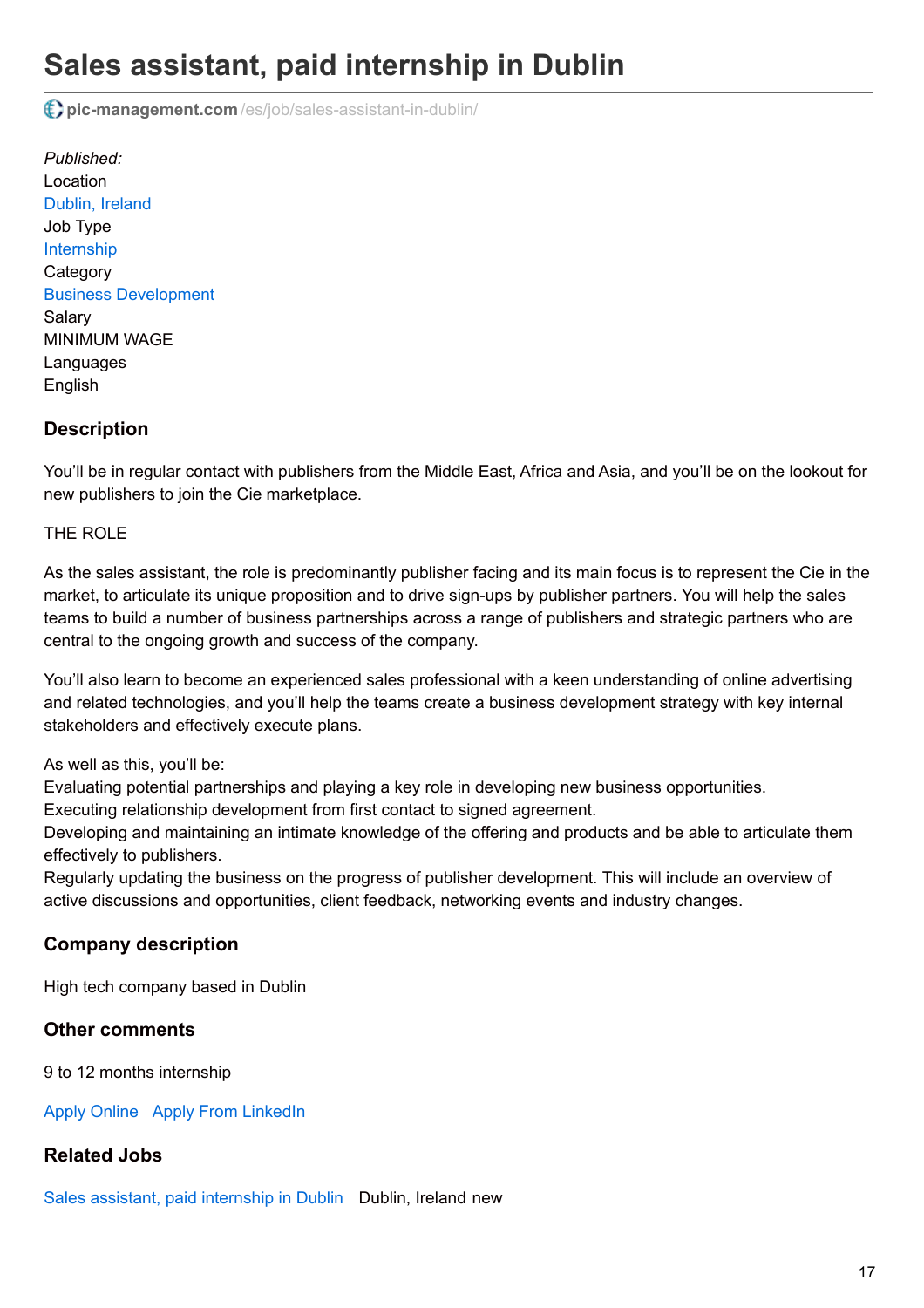# **Sales assistant, paid internship in Dublin**

**pic-management.com** [/es/job/sales-assistant-in-dublin/](http://www.pic-management.com/es/job/sales-assistant-in-dublin/)

*Published:* Location [Dublin, Ireland](https://www.google.com/maps/embed/v1/place?key=AIzaSyCczTP8nhcRK_FOj-OF9MbsUnrXVxoiM24&q=Dublin%2C+%2C+%2C+Ireland&zoom=15) Job Type [Internship](http://www.pic-management.com/es/candidatos/estudiantes/ofertas-de-practicas/type/internship/) **Category** [Business Development](http://www.pic-management.com/es/candidatos/estudiantes/ofertas-de-practicas/category/business-development/) Salary MINIMUM WAGE Languages English

## **Description**

You'll be in regular contact with publishers from the Middle East, Africa and Asia, and you'll be on the lookout for new publishers to join the Cie marketplace.

#### THE ROLE

As the sales assistant, the role is predominantly publisher facing and its main focus is to represent the Cie in the market, to articulate its unique proposition and to drive sign-ups by publisher partners. You will help the sales teams to build a number of business partnerships across a range of publishers and strategic partners who are central to the ongoing growth and success of the company.

You'll also learn to become an experienced sales professional with a keen understanding of online advertising and related technologies, and you'll help the teams create a business development strategy with key internal stakeholders and effectively execute plans.

As well as this, you'll be:

Evaluating potential partnerships and playing a key role in developing new business opportunities.

Executing relationship development from first contact to signed agreement.

Developing and maintaining an intimate knowledge of the offering and products and be able to articulate them effectively to publishers.

Regularly updating the business on the progress of publisher development. This will include an overview of active discussions and opportunities, client feedback, networking events and industry changes.

### **Company description**

High tech company based in Dublin

### **Other comments**

9 to 12 months internship

[Apply Online](http://www.pic-management.com/es/job/sales-assistant-in-dublin/?form=apply#wpjb-scroll) Apply From LinkedIn

### **Related Jobs**

[Sales assistant, paid internship in Dublin](http://www.pic-management.com/es/job/sales-assitant-in-dublin-1-year/) Dublin, Ireland new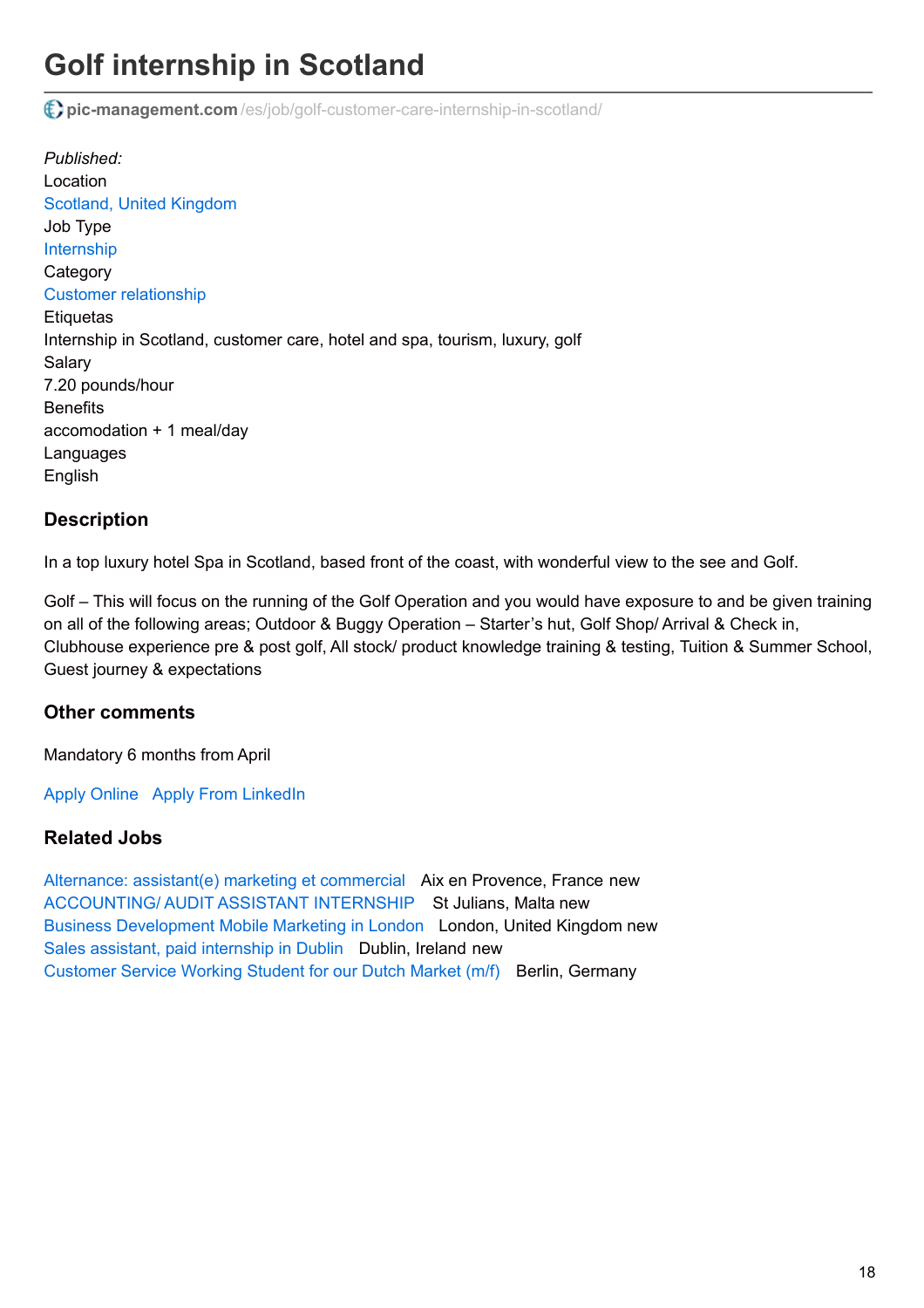# **Golf internship in Scotland**

**pic-management.com** [/es/job/golf-customer-care-internship-in-scotland/](http://www.pic-management.com/es/job/golf-customer-care-internship-in-scotland/)

*Published:* Location [Scotland, United Kingdom](https://www.google.com/maps/embed/v1/place?key=AIzaSyCczTP8nhcRK_FOj-OF9MbsUnrXVxoiM24&q=Scotland%2C+%2C+%2C+United+Kingdom&zoom=15) Job Type [Internship](http://www.pic-management.com/es/candidatos/estudiantes/ofertas-de-practicas/type/internship/) **Category** [Customer relationship](http://www.pic-management.com/es/candidatos/estudiantes/ofertas-de-practicas/category/customer-relationship/) **Etiquetas** Internship in Scotland, customer care, hotel and spa, tourism, luxury, golf Salary 7.20 pounds/hour **Benefits** accomodation + 1 meal/day Languages English

## **Description**

In a top luxury hotel Spa in Scotland, based front of the coast, with wonderful view to the see and Golf.

Golf – This will focus on the running of the Golf Operation and you would have exposure to and be given training on all of the following areas; Outdoor & Buggy Operation – Starter's hut, Golf Shop/ Arrival & Check in, Clubhouse experience pre & post golf, All stock/ product knowledge training & testing, Tuition & Summer School, Guest journey & expectations

### **Other comments**

Mandatory 6 months from April

[Apply Online](http://www.pic-management.com/es/job/golf-customer-care-internship-in-scotland/?form=apply#wpjb-scroll) Apply From LinkedIn

### **Related Jobs**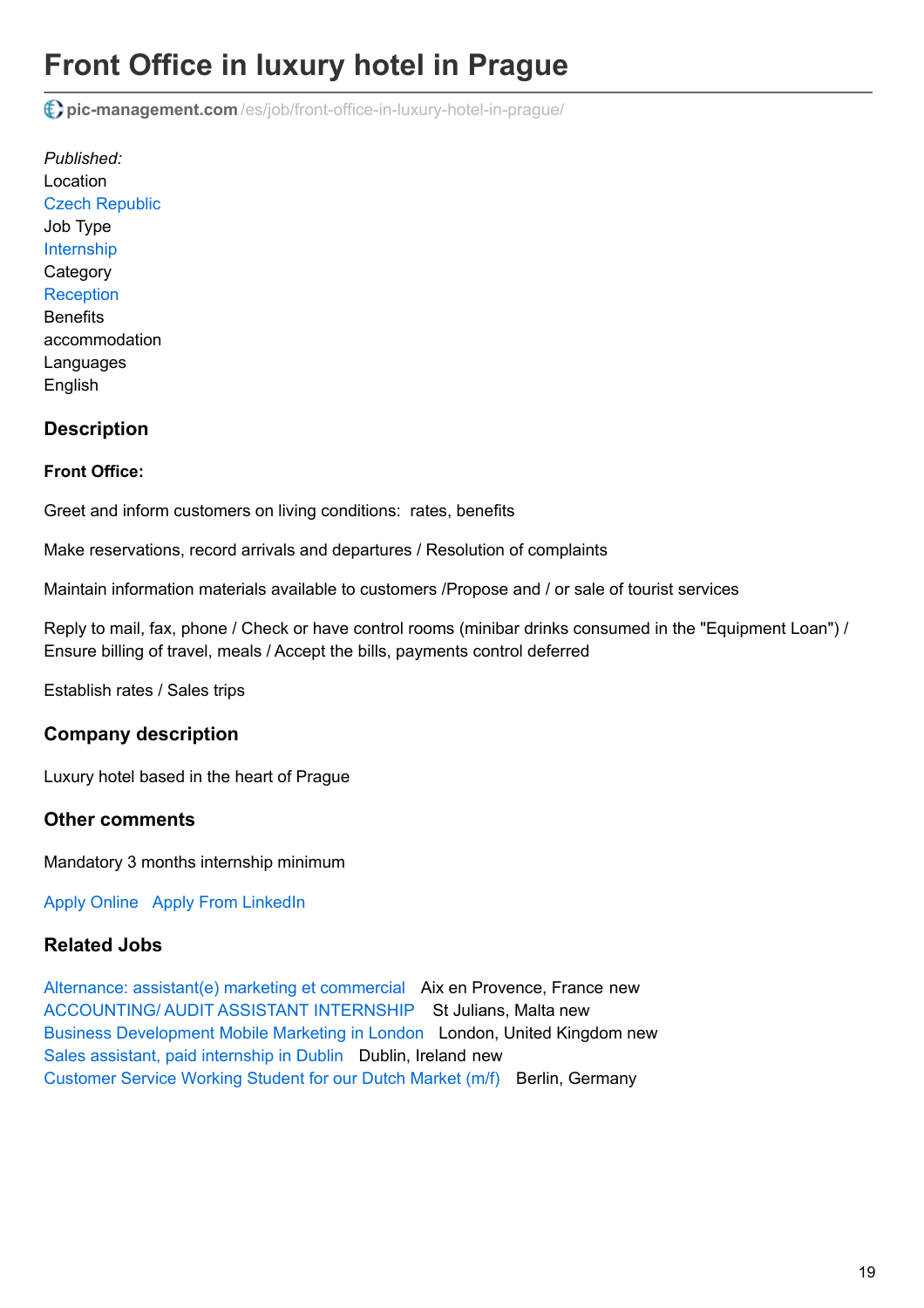# **Front Office in luxury hotel in Prague**

**pic-management.com** [/es/job/front-office-in-luxury-hotel-in-prague/](http://www.pic-management.com/es/job/front-office-in-luxury-hotel-in-prague/)

*Published:* Location [Czech Republic](https://www.google.com/maps/embed/v1/place?key=AIzaSyCczTP8nhcRK_FOj-OF9MbsUnrXVxoiM24&q=%2C+%2C+%2C+Czech+Republic&zoom=15) Job Type [Internship](http://www.pic-management.com/es/candidatos/estudiantes/ofertas-de-practicas/type/internship/) **Category [Reception](http://www.pic-management.com/es/candidatos/estudiantes/ofertas-de-practicas/category/reception/) Benefits** accommodation Languages English

## **Description**

#### **Front Office:**

Greet and inform customers on living conditions: rates, benefits

Make reservations, record arrivals and departures / Resolution of complaints

Maintain information materials available to customers /Propose and / or sale of tourist services

Reply to mail, fax, phone / Check or have control rooms (minibar drinks consumed in the "Equipment Loan") / Ensure billing of travel, meals / Accept the bills, payments control deferred

Establish rates / Sales trips

### **Company description**

Luxury hotel based in the heart of Prague

### **Other comments**

Mandatory 3 months internship minimum

[Apply Online](http://www.pic-management.com/es/job/front-office-in-luxury-hotel-in-prague/?form=apply#wpjb-scroll) Apply From LinkedIn

### **Related Jobs**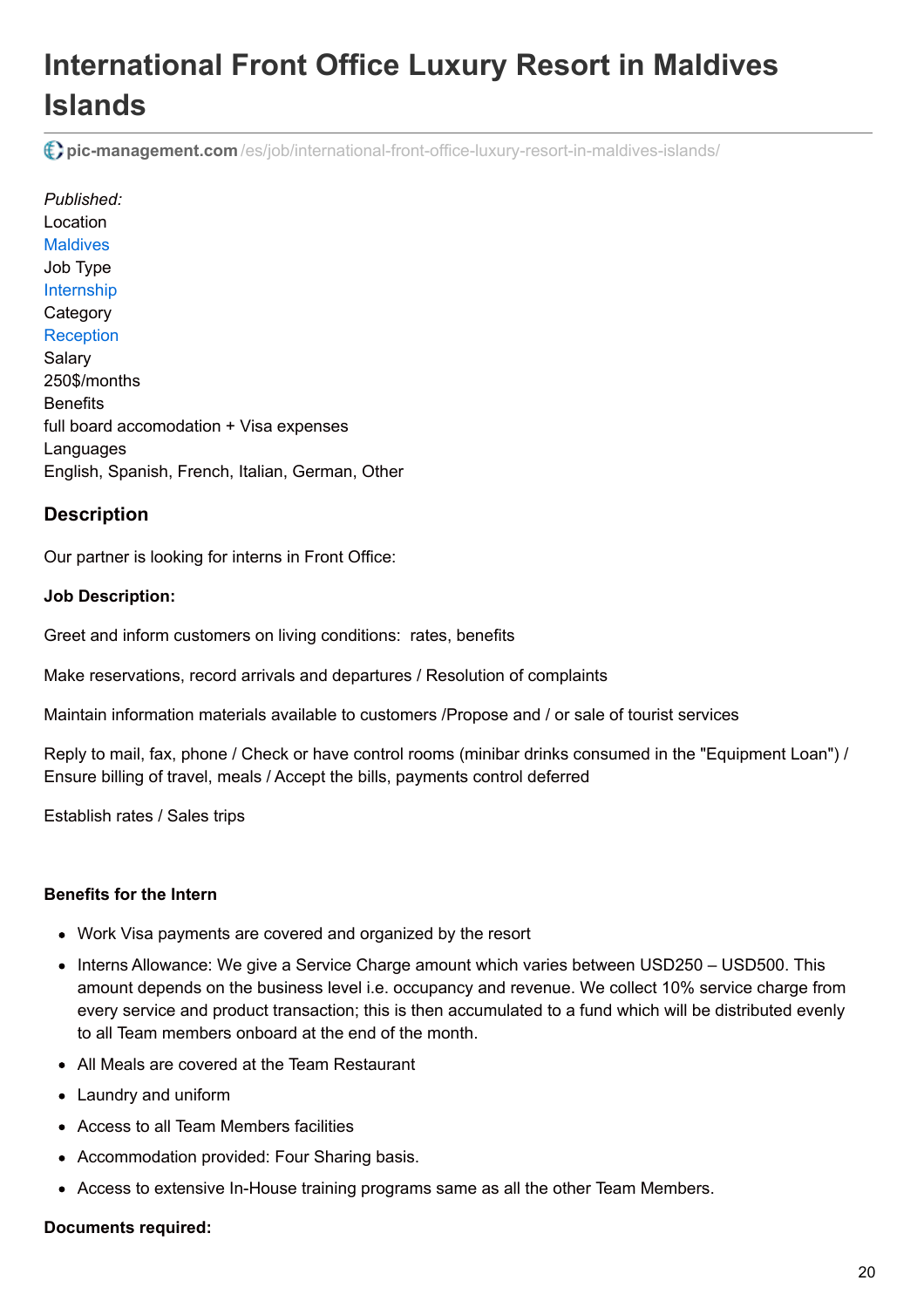# **International Front Office Luxury Resort in Maldives Islands**

**pic-management.com** [/es/job/international-front-office-luxury-resort-in-maldives-islands/](http://www.pic-management.com/es/job/international-front-office-luxury-resort-in-maldives-islands/)

*Published:* Location **[Maldives](https://www.google.com/maps/embed/v1/place?key=AIzaSyCczTP8nhcRK_FOj-OF9MbsUnrXVxoiM24&q=%2C+%2C+%2C+Maldives&zoom=15)** Job Type [Internship](http://www.pic-management.com/es/candidatos/estudiantes/ofertas-de-practicas/type/internship/) **Category [Reception](http://www.pic-management.com/es/candidatos/estudiantes/ofertas-de-practicas/category/reception/)** Salary 250\$/months **Benefits** full board accomodation + Visa expenses Languages English, Spanish, French, Italian, German, Other

# **Description**

Our partner is looking for interns in Front Office:

#### **Job Description:**

Greet and inform customers on living conditions: rates, benefits

Make reservations, record arrivals and departures / Resolution of complaints

Maintain information materials available to customers /Propose and / or sale of tourist services

Reply to mail, fax, phone / Check or have control rooms (minibar drinks consumed in the "Equipment Loan") / Ensure billing of travel, meals / Accept the bills, payments control deferred

Establish rates / Sales trips

### **Benefits for the Intern**

- Work Visa payments are covered and organized by the resort
- Interns Allowance: We give a Service Charge amount which varies between USD250 USD500. This amount depends on the business level i.e. occupancy and revenue. We collect 10% service charge from every service and product transaction; this is then accumulated to a fund which will be distributed evenly to all Team members onboard at the end of the month.
- All Meals are covered at the Team Restaurant
- Laundry and uniform
- Access to all Team Members facilities
- Accommodation provided: Four Sharing basis.
- Access to extensive In-House training programs same as all the other Team Members.

#### **Documents required:**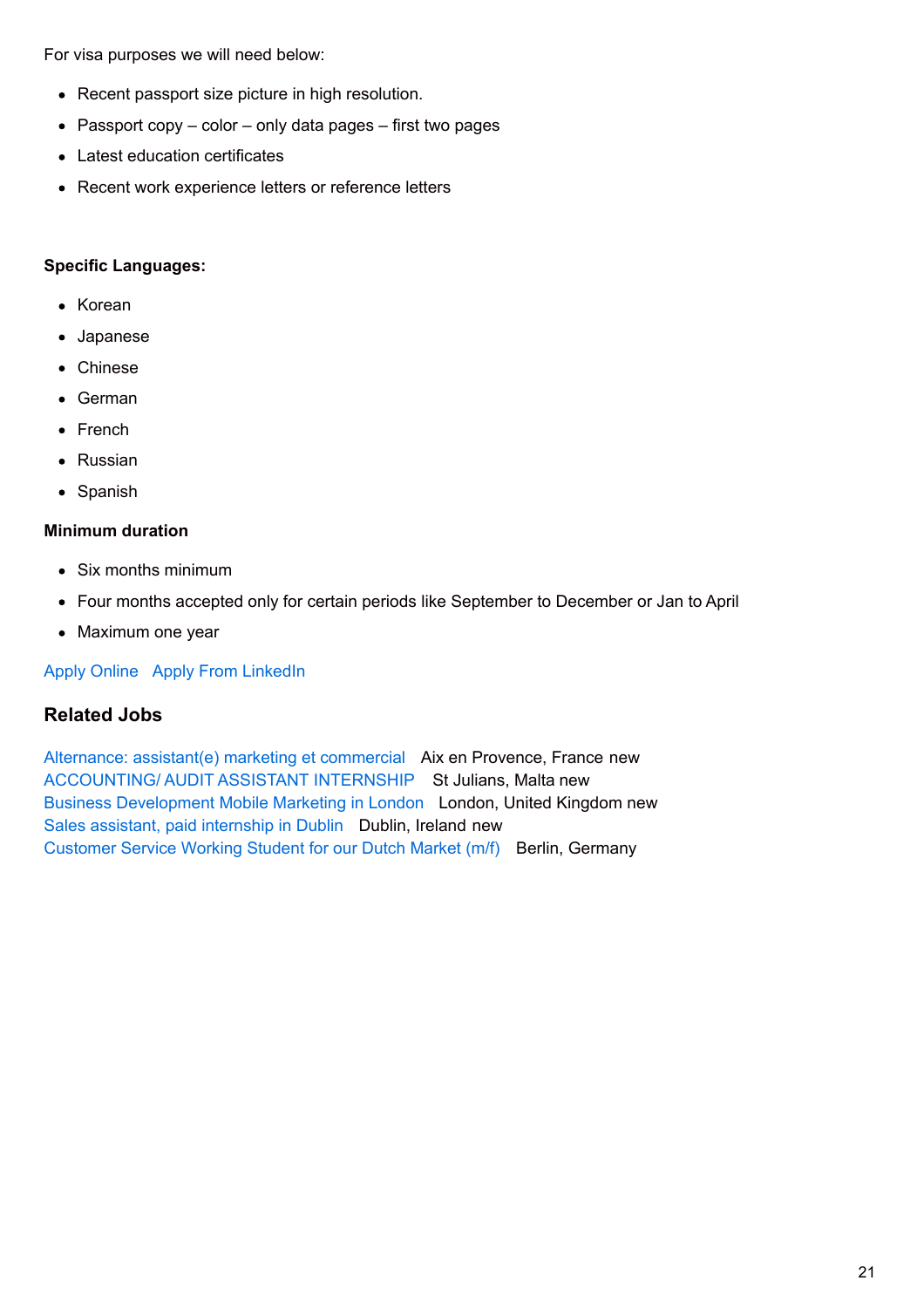For visa purposes we will need below:

- Recent passport size picture in high resolution.
- Passport copy  $-$  color  $-$  only data pages  $-$  first two pages
- Latest education certificates
- Recent work experience letters or reference letters

#### **Specific Languages:**

- Korean
- Japanese
- Chinese
- German
- French
- Russian
- Spanish

#### **Minimum duration**

- Six months minimum
- Four months accepted only for certain periods like September to December or Jan to April
- Maximum one year

[Apply Online](http://www.pic-management.com/es/job/international-front-office-luxury-resort-in-maldives-islands/?form=apply#wpjb-scroll) Apply From LinkedIn

## **Related Jobs**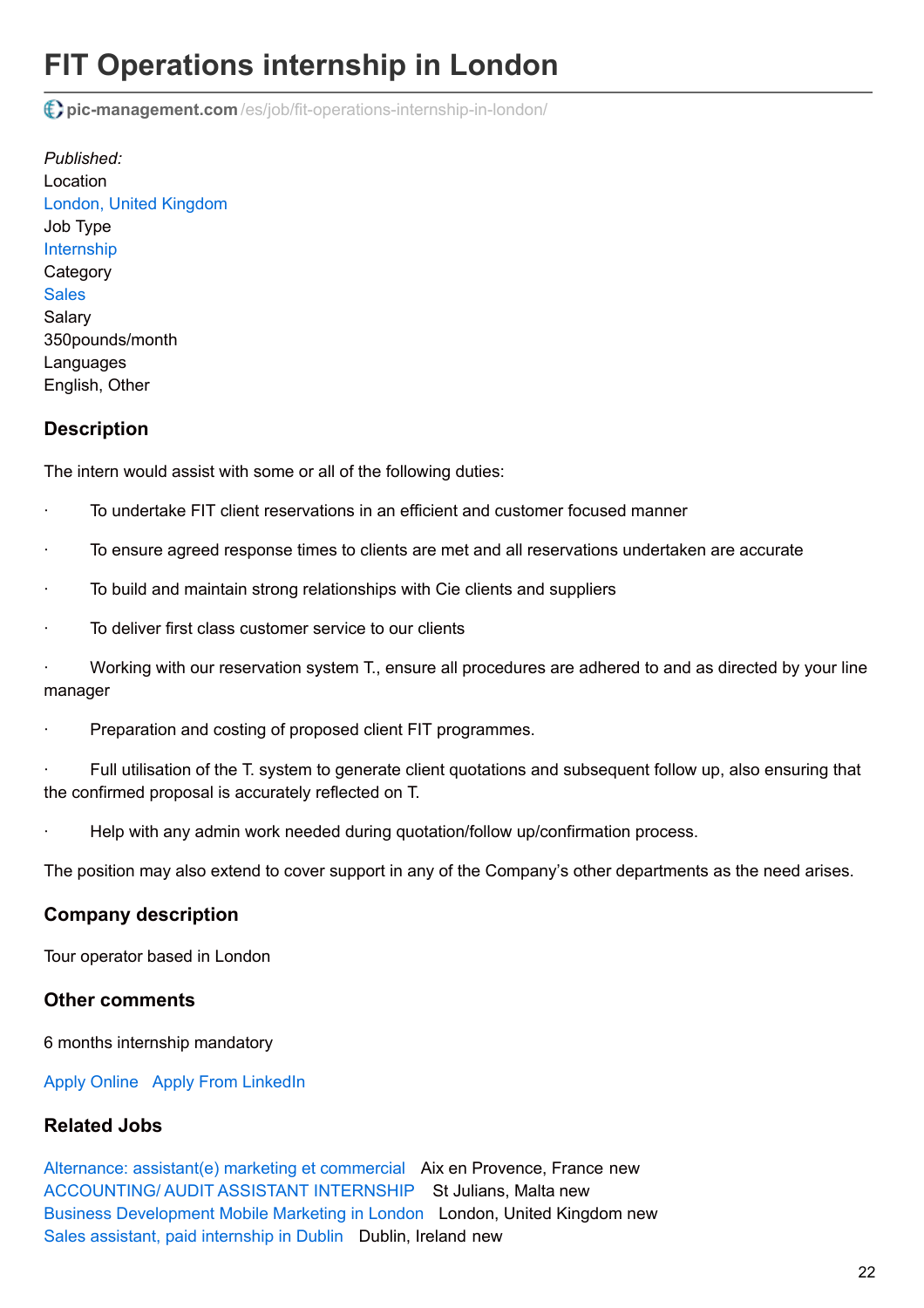# **FIT Operations internship in London**

**pic-management.com** [/es/job/fit-operations-internship-in-london/](http://www.pic-management.com/es/job/fit-operations-internship-in-london/)

*Published:* Location [London, United Kingdom](https://www.google.com/maps/embed/v1/place?key=AIzaSyCczTP8nhcRK_FOj-OF9MbsUnrXVxoiM24&q=London%2C+%2C+%2C+United+Kingdom&zoom=15) Job Type [Internship](http://www.pic-management.com/es/candidatos/estudiantes/ofertas-de-practicas/type/internship/) **Category [Sales](http://www.pic-management.com/es/candidatos/estudiantes/ofertas-de-practicas/category/sales/) Salarv** 350pounds/month Languages English, Other

## **Description**

The intern would assist with some or all of the following duties:

- · To undertake FIT client reservations in an efficient and customer focused manner
- · To ensure agreed response times to clients are met and all reservations undertaken are accurate
- To build and maintain strong relationships with Cie clients and suppliers
- To deliver first class customer service to our clients

Working with our reservation system T., ensure all procedures are adhered to and as directed by your line manager

Preparation and costing of proposed client FIT programmes.

Full utilisation of the T. system to generate client quotations and subsequent follow up, also ensuring that the confirmed proposal is accurately reflected on T.

· Help with any admin work needed during quotation/follow up/confirmation process.

The position may also extend to cover support in any of the Company's other departments as the need arises.

### **Company description**

Tour operator based in London

#### **Other comments**

6 months internship mandatory

[Apply Online](http://www.pic-management.com/es/job/fit-operations-internship-in-london/?form=apply#wpjb-scroll) Apply From LinkedIn

#### **Related Jobs**

[Alternance: assistant\(e\) marketing et commercial](http://www.pic-management.com/es/job/alternance-assistante-marketing-et-commercial/) Aix en Provence, France new [ACCOUNTING/ AUDIT ASSISTANT INTERNSHIP](http://www.pic-management.com/es/job/accounting-audit-assistant-internship/) St Julians, Malta new [Business Development Mobile Marketing in London](http://www.pic-management.com/es/job/business-development-paid-internship-in-london-2/) London, United Kingdom new [Sales assistant, paid internship in Dublin](http://www.pic-management.com/es/job/sales-assitant-in-dublin-1-year/) Dublin, Ireland new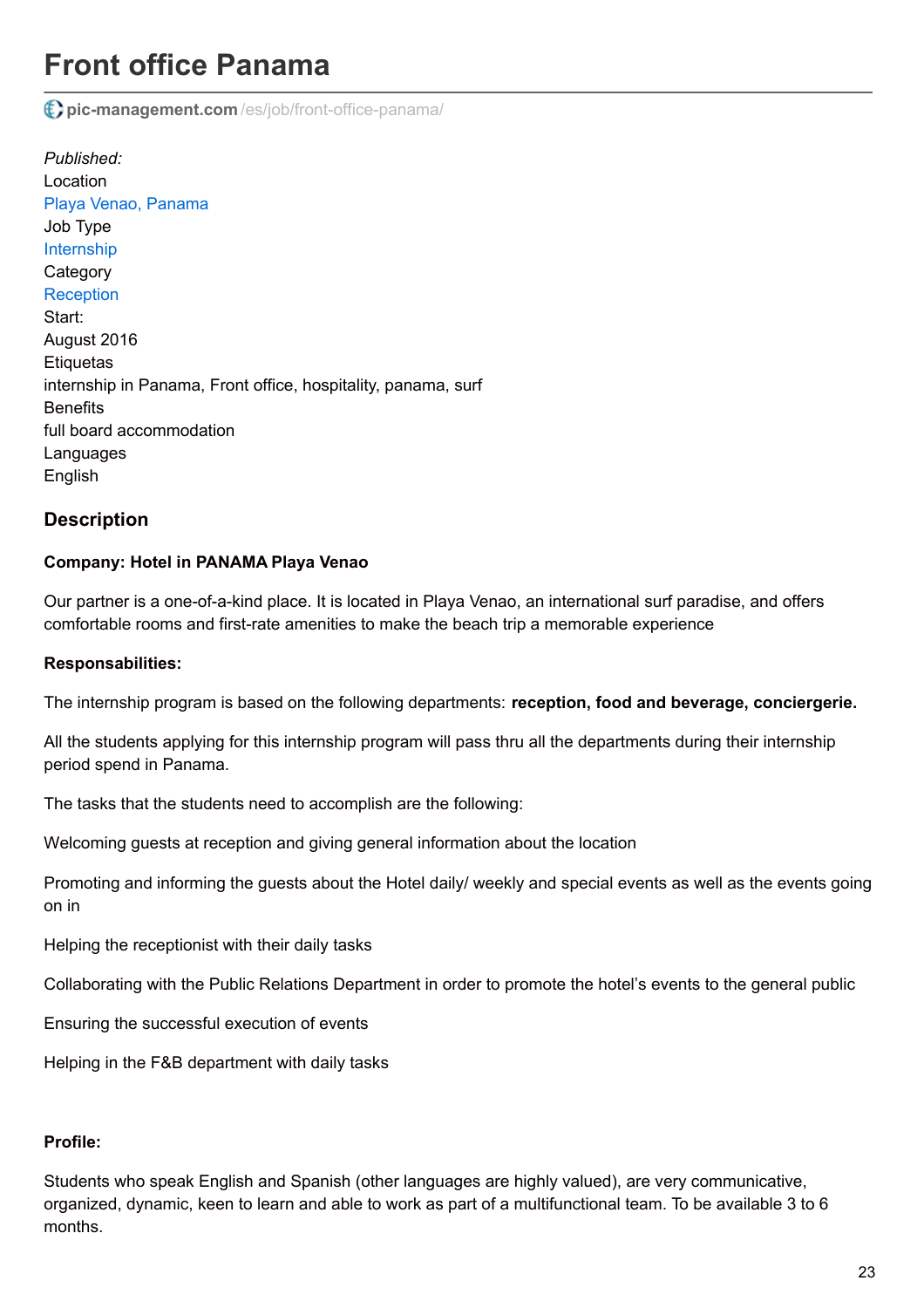# **Front office Panama**

**pic-management.com** [/es/job/front-office-panama/](http://www.pic-management.com/es/job/front-office-panama/)

*Published:* Location [Playa Venao, Panama](https://www.google.com/maps/embed/v1/place?key=AIzaSyCczTP8nhcRK_FOj-OF9MbsUnrXVxoiM24&q=Playa+Venao%2C+%2C+%2C+Panama&zoom=15) Job Type [Internship](http://www.pic-management.com/es/candidatos/estudiantes/ofertas-de-practicas/type/internship/) **Category [Reception](http://www.pic-management.com/es/candidatos/estudiantes/ofertas-de-practicas/category/reception/)** Start: August 2016 **Etiquetas** internship in Panama, Front office, hospitality, panama, surf **Benefits** full board accommodation Languages English

### **Description**

#### **Company: Hotel in PANAMA Playa Venao**

Our partner is a one-of-a-kind place. It is located in Playa Venao, an international surf paradise, and offers comfortable rooms and first-rate amenities to make the beach trip a memorable experience

#### **Responsabilities:**

The internship program is based on the following departments: **reception, food and beverage, conciergerie.**

All the students applying for this internship program will pass thru all the departments during their internship period spend in Panama.

The tasks that the students need to accomplish are the following:

Welcoming guests at reception and giving general information about the location

Promoting and informing the guests about the Hotel daily/ weekly and special events as well as the events going on in

Helping the receptionist with their daily tasks

Collaborating with the Public Relations Department in order to promote the hotel's events to the general public

Ensuring the successful execution of events

Helping in the F&B department with daily tasks

#### **Profile:**

Students who speak English and Spanish (other languages are highly valued), are very communicative, organized, dynamic, keen to learn and able to work as part of a multifunctional team. To be available 3 to 6 months.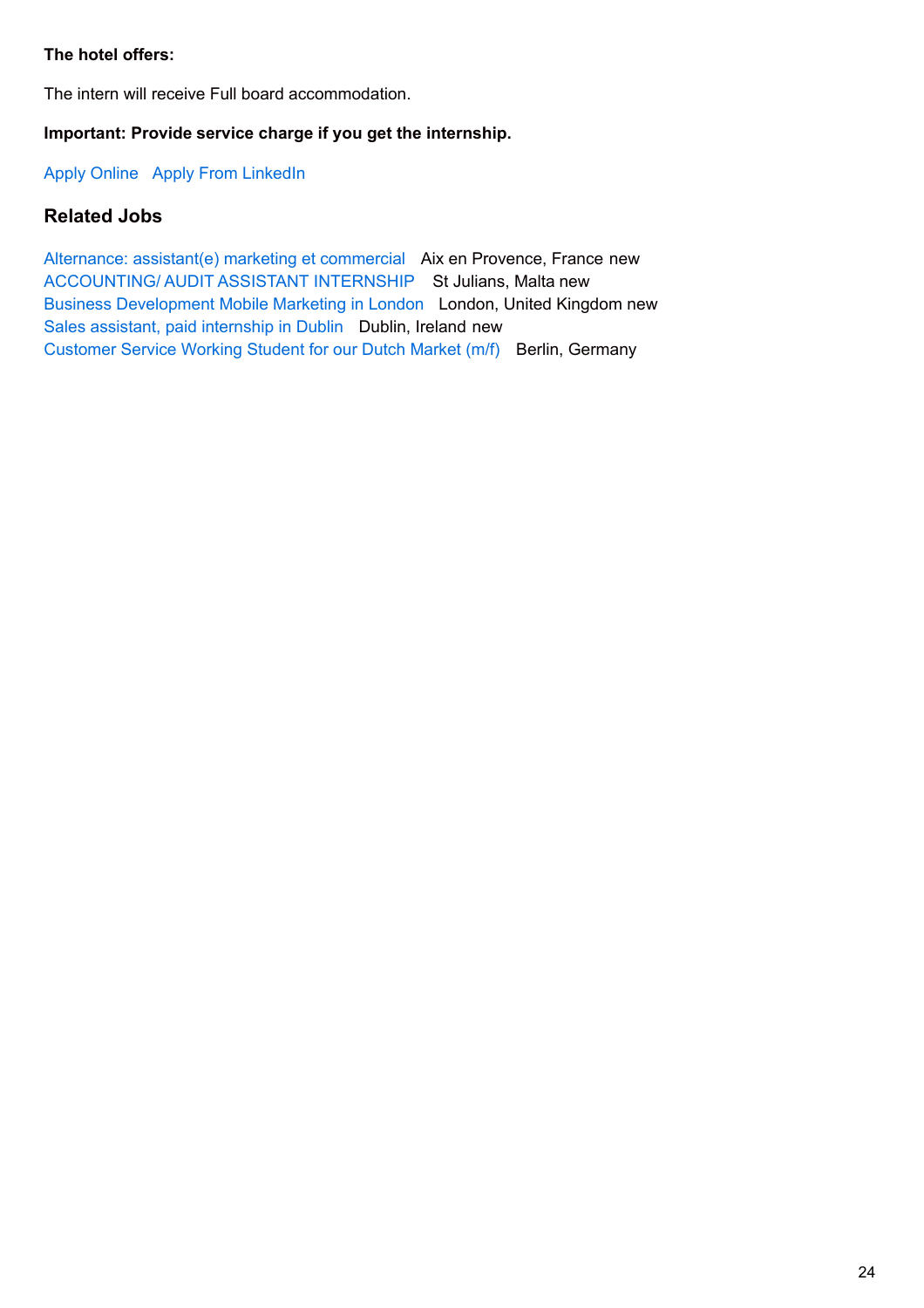### **The hotel offers:**

The intern will receive Full board accommodation.

### **Important: Provide service charge if you get the internship.**

[Apply Online](http://www.pic-management.com/es/job/front-office-panama/?form=apply#wpjb-scroll) Apply From LinkedIn

## **Related Jobs**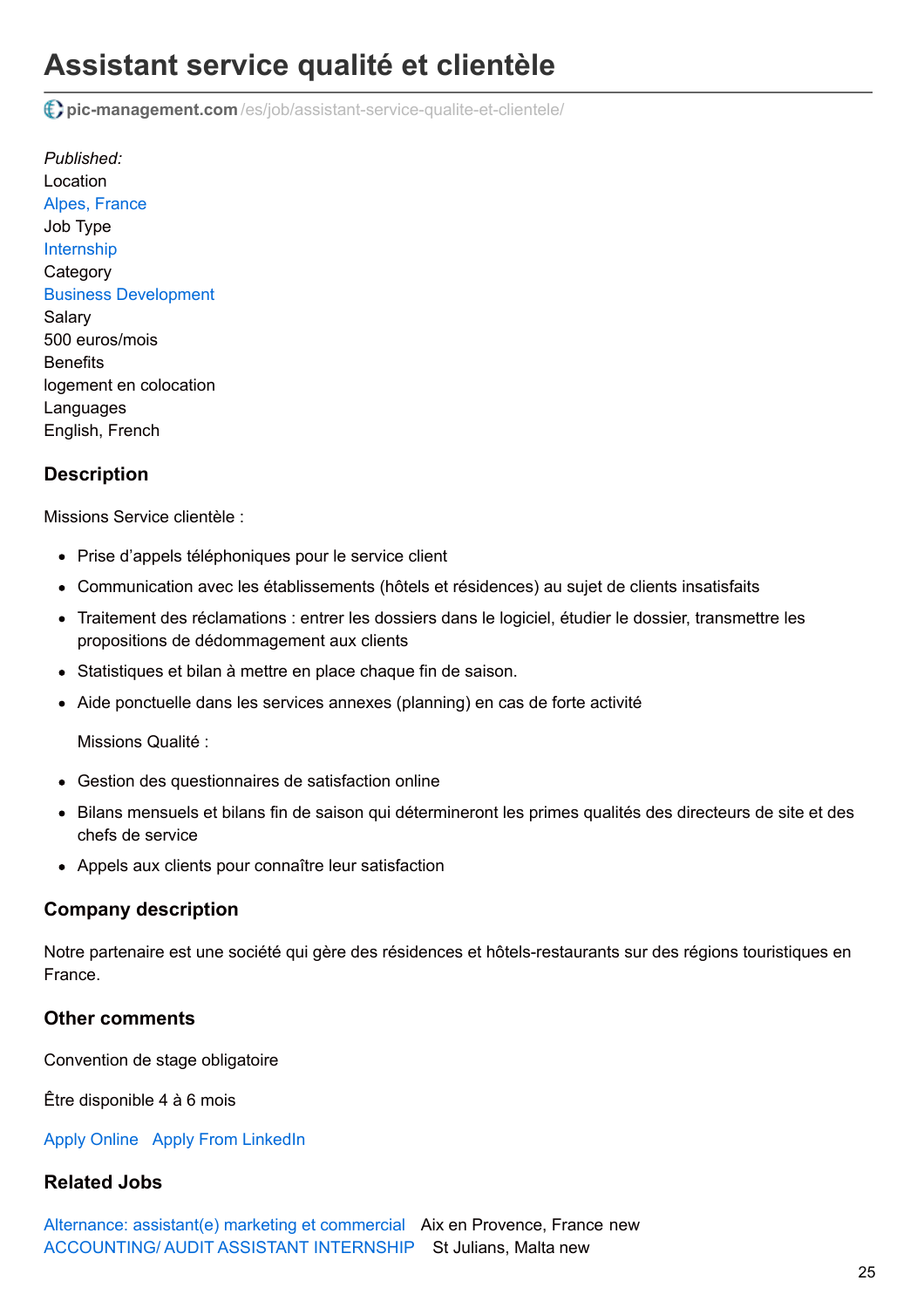# **Assistant service qualité et clientèle**

**pic-management.com** [/es/job/assistant-service-qualite-et-clientele/](http://www.pic-management.com/es/job/assistant-service-qualite-et-clientele/)

*Published:* Location [Alpes, France](https://www.google.com/maps/embed/v1/place?key=AIzaSyCczTP8nhcRK_FOj-OF9MbsUnrXVxoiM24&q=Alpes%2C+%2C+%2C+France&zoom=15) Job Type [Internship](http://www.pic-management.com/es/candidatos/estudiantes/ofertas-de-practicas/type/internship/) **Category** [Business Development](http://www.pic-management.com/es/candidatos/estudiantes/ofertas-de-practicas/category/business-development/) Salary 500 euros/mois **Benefits** logement en colocation Languages English, French

## **Description**

Missions Service clientèle :

- Prise d'appels téléphoniques pour le service client
- Communication avec les établissements (hôtels et résidences) au sujet de clients insatisfaits
- Traitement des réclamations : entrer les dossiers dans le logiciel, étudier le dossier, transmettre les propositions de dédommagement aux clients
- Statistiques et bilan à mettre en place chaque fin de saison.
- Aide ponctuelle dans les services annexes (planning) en cas de forte activité

Missions Qualité :

- Gestion des questionnaires de satisfaction online
- Bilans mensuels et bilans fin de saison qui détermineront les primes qualités des directeurs de site et des chefs de service
- Appels aux clients pour connaître leur satisfaction

#### **Company description**

Notre partenaire est une société qui gère des résidences et hôtels-restaurants sur des régions touristiques en France.

#### **Other comments**

Convention de stage obligatoire

Être disponible 4 à 6 mois

[Apply Online](http://www.pic-management.com/es/job/assistant-service-qualite-et-clientele/?form=apply#wpjb-scroll) Apply From LinkedIn

### **Related Jobs**

[Alternance: assistant\(e\) marketing et commercial](http://www.pic-management.com/es/job/alternance-assistante-marketing-et-commercial/) Aix en Provence, France new [ACCOUNTING/ AUDIT ASSISTANT INTERNSHIP](http://www.pic-management.com/es/job/accounting-audit-assistant-internship/) St Julians, Malta new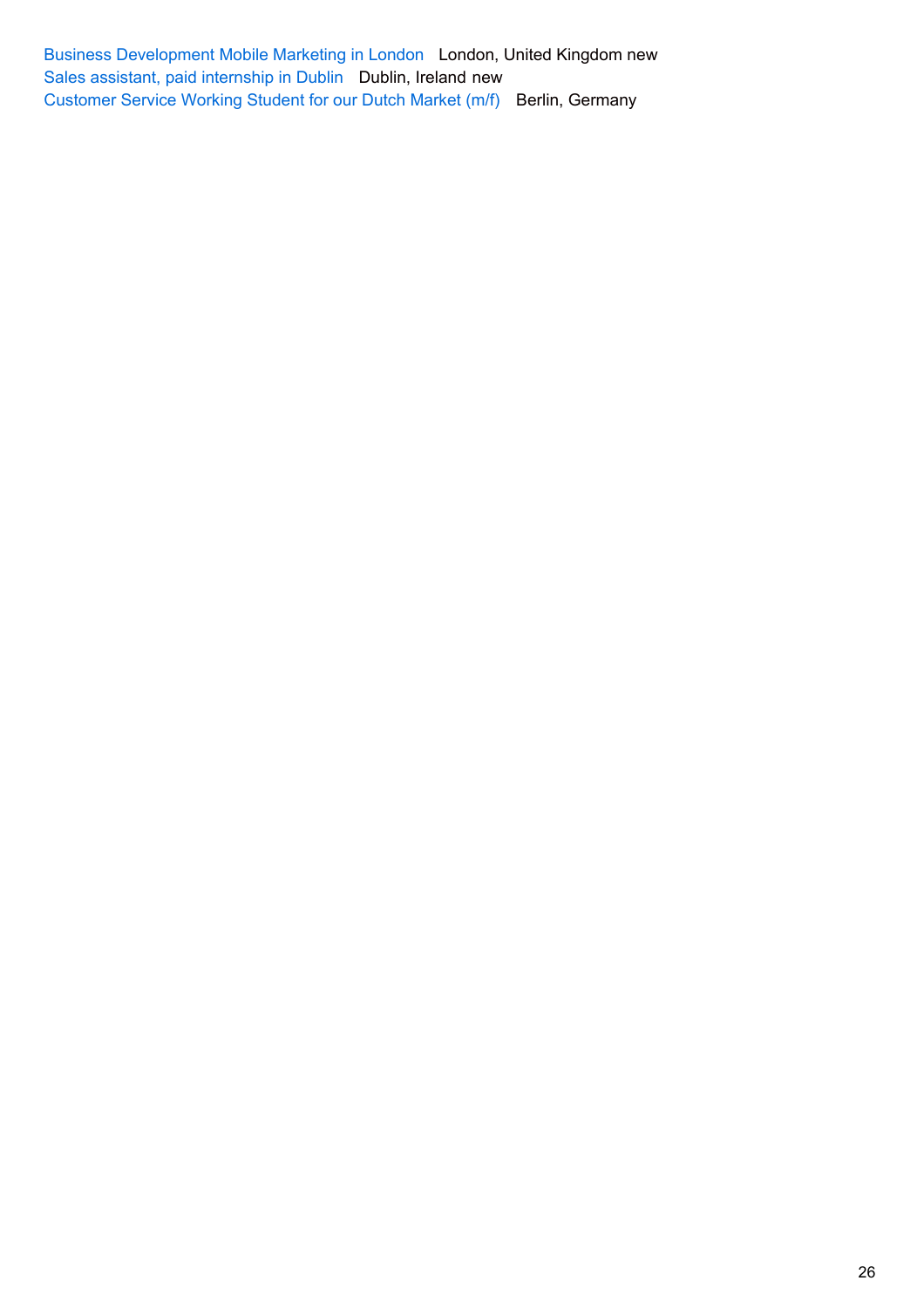[Business Development Mobile Marketing in London](http://www.pic-management.com/es/job/business-development-paid-internship-in-london-2/) London, United Kingdom new [Sales assistant, paid internship in Dublin](http://www.pic-management.com/es/job/sales-assitant-in-dublin-1-year/) Dublin, Ireland new [Customer Service Working Student for our Dutch Market \(m/f\)](http://www.pic-management.com/es/job/customer-service-working-student-for-our-dutch-market-mf/) Berlin, Germany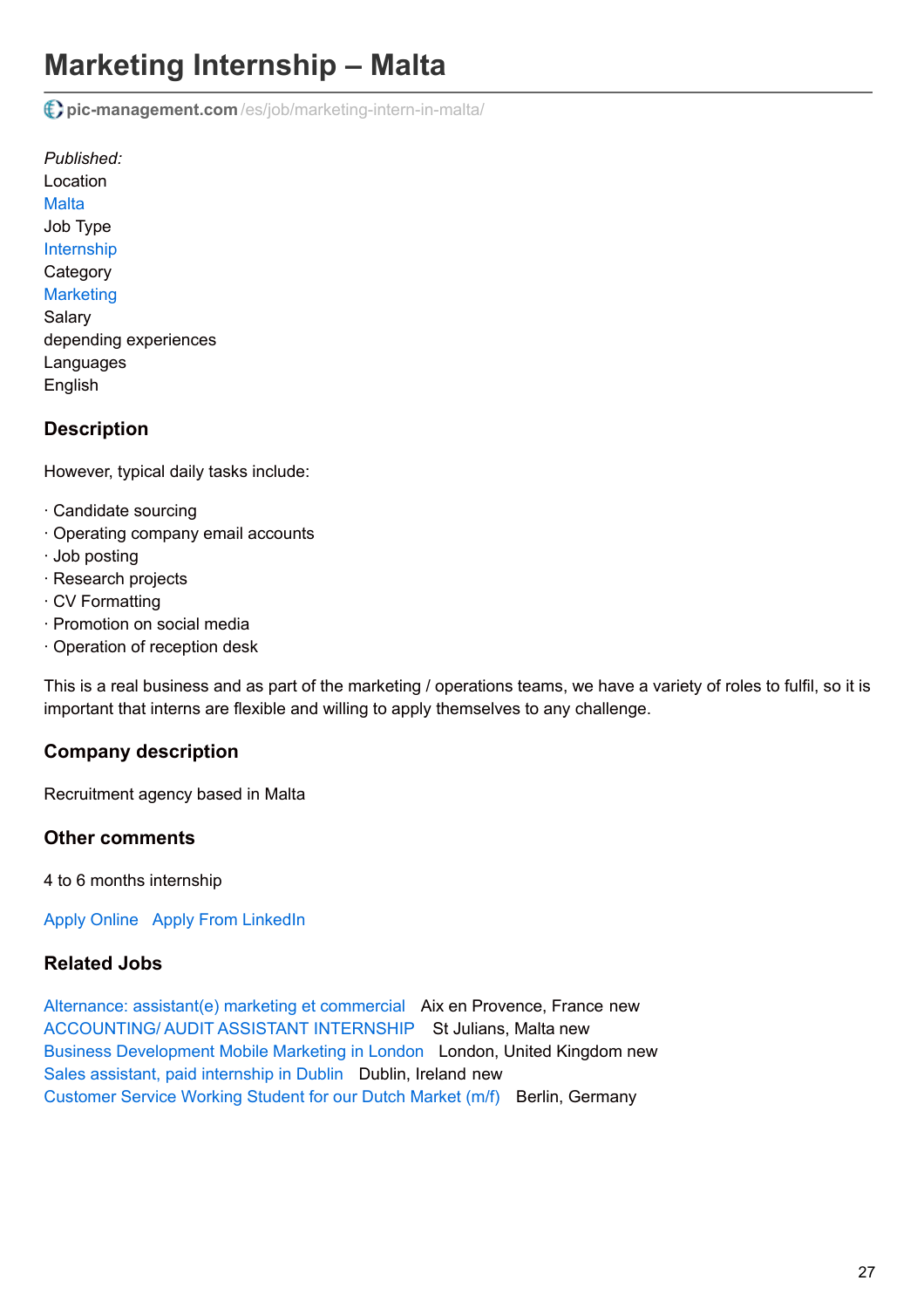# **Marketing Internship – Malta**

**pic-management.com** [/es/job/marketing-intern-in-malta/](http://www.pic-management.com/es/job/marketing-intern-in-malta/)

*Published:* Location **[Malta](https://www.google.com/maps/embed/v1/place?key=AIzaSyCczTP8nhcRK_FOj-OF9MbsUnrXVxoiM24&q=%2C+%2C+%2C+Malta&zoom=15)** Job Type [Internship](http://www.pic-management.com/es/candidatos/estudiantes/ofertas-de-practicas/type/internship/) **Category [Marketing](http://www.pic-management.com/es/candidatos/estudiantes/ofertas-de-practicas/category/marketing/)** Salary depending experiences Languages English

# **Description**

However, typical daily tasks include:

- · Candidate sourcing
- · Operating company email accounts
- · Job posting
- · Research projects
- · CV Formatting
- · Promotion on social media
- · Operation of reception desk

This is a real business and as part of the marketing / operations teams, we have a variety of roles to fulfil, so it is important that interns are flexible and willing to apply themselves to any challenge.

# **Company description**

Recruitment agency based in Malta

### **Other comments**

4 to 6 months internship

[Apply Online](http://www.pic-management.com/es/job/marketing-intern-in-malta/?form=apply#wpjb-scroll) Apply From LinkedIn

## **Related Jobs**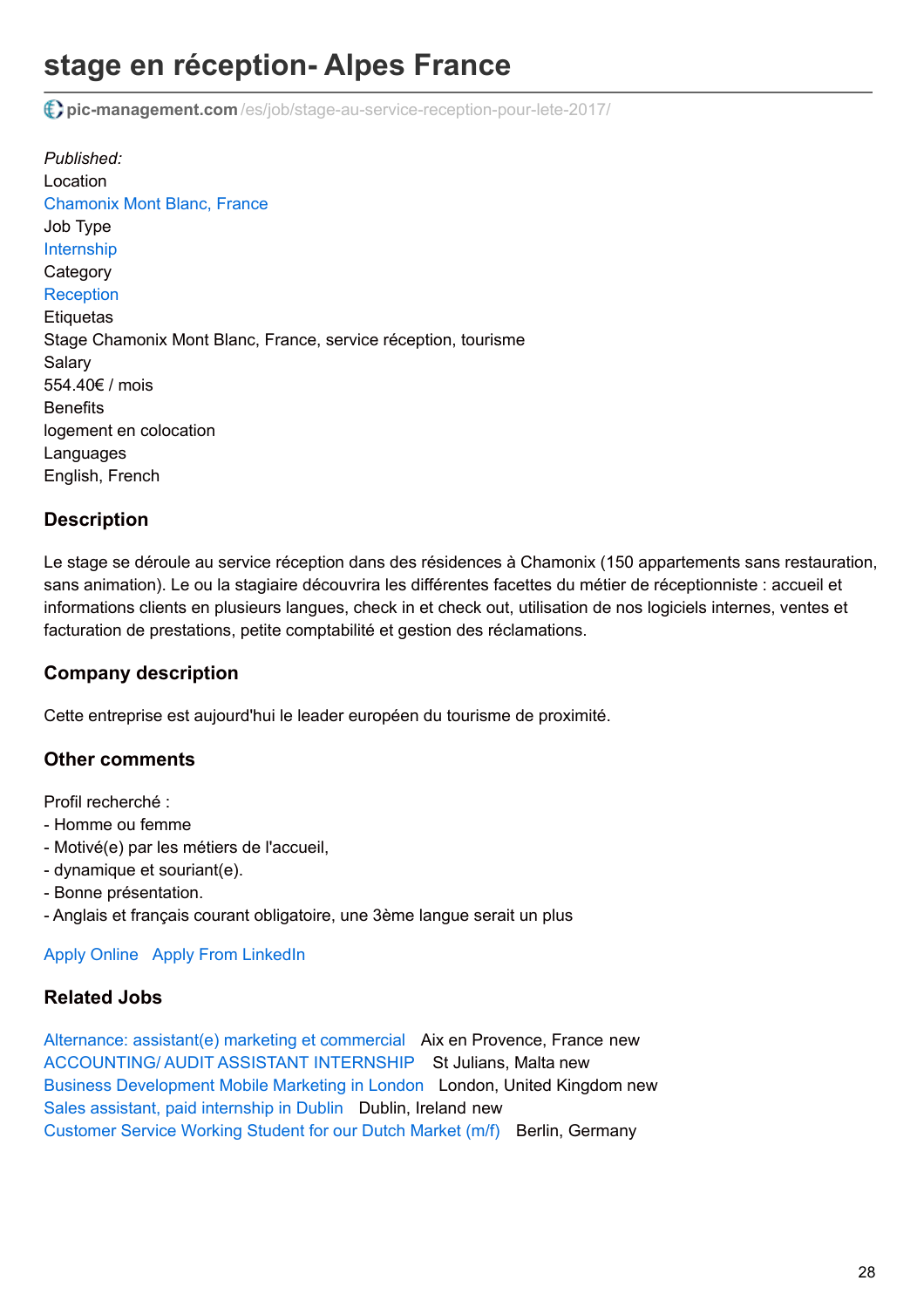# **stage en réception- Alpes France**

**pic-management.com** [/es/job/stage-au-service-reception-pour-lete-2017/](http://www.pic-management.com/es/job/stage-au-service-reception-pour-lete-2017/)

*Published:* Location [Chamonix Mont Blanc, France](https://www.google.com/maps/embed/v1/place?key=AIzaSyCczTP8nhcRK_FOj-OF9MbsUnrXVxoiM24&q=Chamonix+Mont+Blanc%2C+74400%2C+%2C+France&zoom=15) Job Type [Internship](http://www.pic-management.com/es/candidatos/estudiantes/ofertas-de-practicas/type/internship/) **Category [Reception](http://www.pic-management.com/es/candidatos/estudiantes/ofertas-de-practicas/category/reception/) Etiquetas** Stage Chamonix Mont Blanc, France, service réception, tourisme Salary 554.40€ / mois **Benefits** logement en colocation Languages English, French

## **Description**

Le stage se déroule au service réception dans des résidences à Chamonix (150 appartements sans restauration, sans animation). Le ou la stagiaire découvrira les différentes facettes du métier de réceptionniste : accueil et informations clients en plusieurs langues, check in et check out, utilisation de nos logiciels internes, ventes et facturation de prestations, petite comptabilité et gestion des réclamations.

## **Company description**

Cette entreprise est aujourd'hui le leader européen du tourisme de proximité.

### **Other comments**

Profil recherché :

- Homme ou femme
- Motivé(e) par les métiers de l'accueil,
- dynamique et souriant(e).
- Bonne présentation.
- Anglais et français courant obligatoire, une 3ème langue serait un plus

### [Apply Online](http://www.pic-management.com/es/job/stage-au-service-reception-pour-lete-2017/?form=apply#wpjb-scroll) Apply From LinkedIn

# **Related Jobs**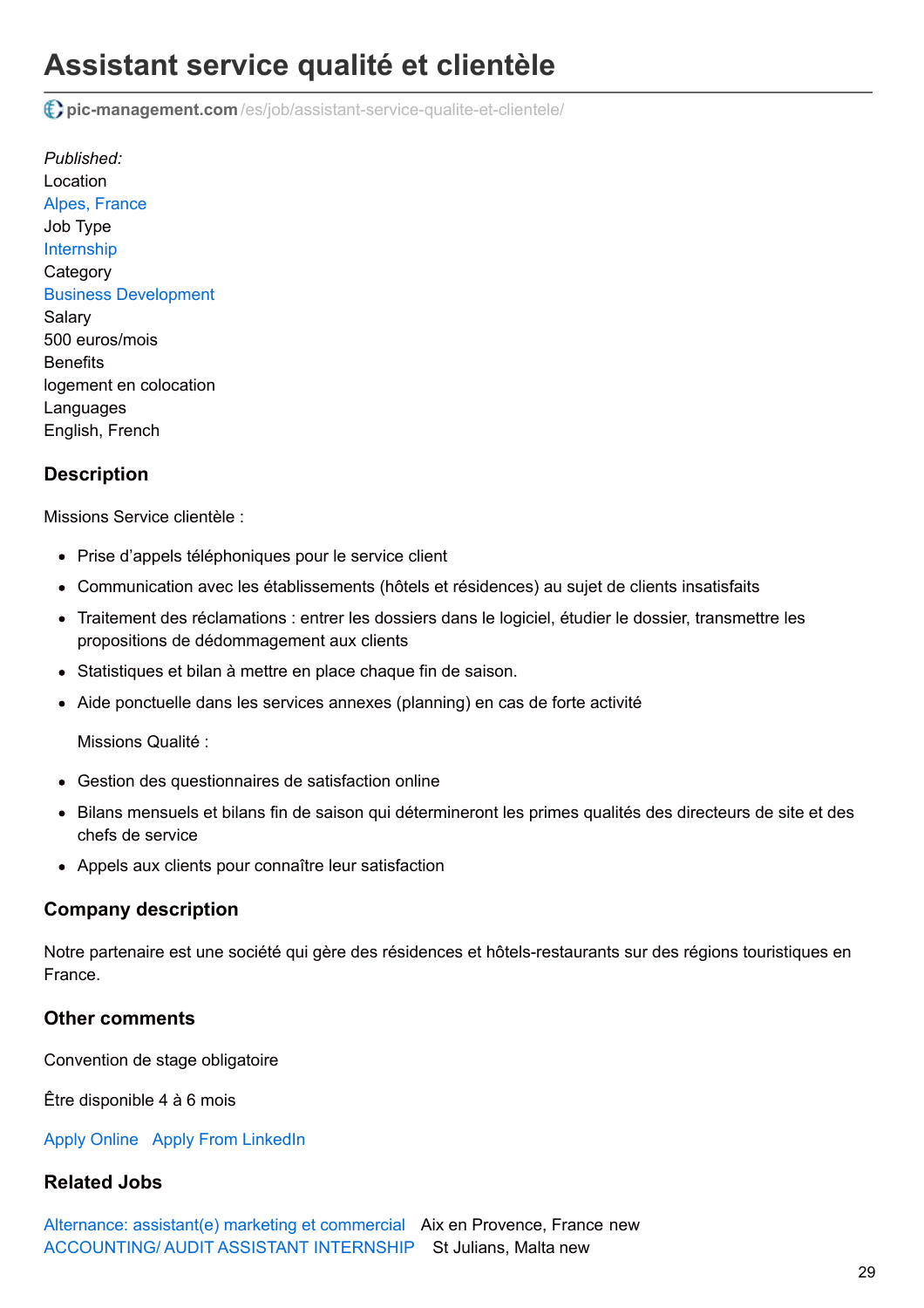# **Assistant service qualité et clientèle**

**pic-management.com** [/es/job/assistant-service-qualite-et-clientele/](http://www.pic-management.com/es/job/assistant-service-qualite-et-clientele/)

*Published:* Location [Alpes, France](https://www.google.com/maps/embed/v1/place?key=AIzaSyCczTP8nhcRK_FOj-OF9MbsUnrXVxoiM24&q=Alpes%2C+%2C+%2C+France&zoom=15) Job Type [Internship](http://www.pic-management.com/es/candidatos/estudiantes/ofertas-de-practicas/type/internship/) **Category** [Business Development](http://www.pic-management.com/es/candidatos/estudiantes/ofertas-de-practicas/category/business-development/) Salary 500 euros/mois **Benefits** logement en colocation Languages English, French

## **Description**

Missions Service clientèle :

- Prise d'appels téléphoniques pour le service client
- Communication avec les établissements (hôtels et résidences) au sujet de clients insatisfaits
- Traitement des réclamations : entrer les dossiers dans le logiciel, étudier le dossier, transmettre les propositions de dédommagement aux clients
- Statistiques et bilan à mettre en place chaque fin de saison.
- Aide ponctuelle dans les services annexes (planning) en cas de forte activité

Missions Qualité :

- Gestion des questionnaires de satisfaction online
- Bilans mensuels et bilans fin de saison qui détermineront les primes qualités des directeurs de site et des chefs de service
- Appels aux clients pour connaître leur satisfaction

## **Company description**

Notre partenaire est une société qui gère des résidences et hôtels-restaurants sur des régions touristiques en France.

## **Other comments**

Convention de stage obligatoire

Être disponible 4 à 6 mois

[Apply Online](http://www.pic-management.com/es/job/assistant-service-qualite-et-clientele/?form=apply#wpjb-scroll) Apply From LinkedIn

# **Related Jobs**

[Alternance: assistant\(e\) marketing et commercial](http://www.pic-management.com/es/job/alternance-assistante-marketing-et-commercial/) Aix en Provence, France new [ACCOUNTING/ AUDIT ASSISTANT INTERNSHIP](http://www.pic-management.com/es/job/accounting-audit-assistant-internship/) St Julians, Malta new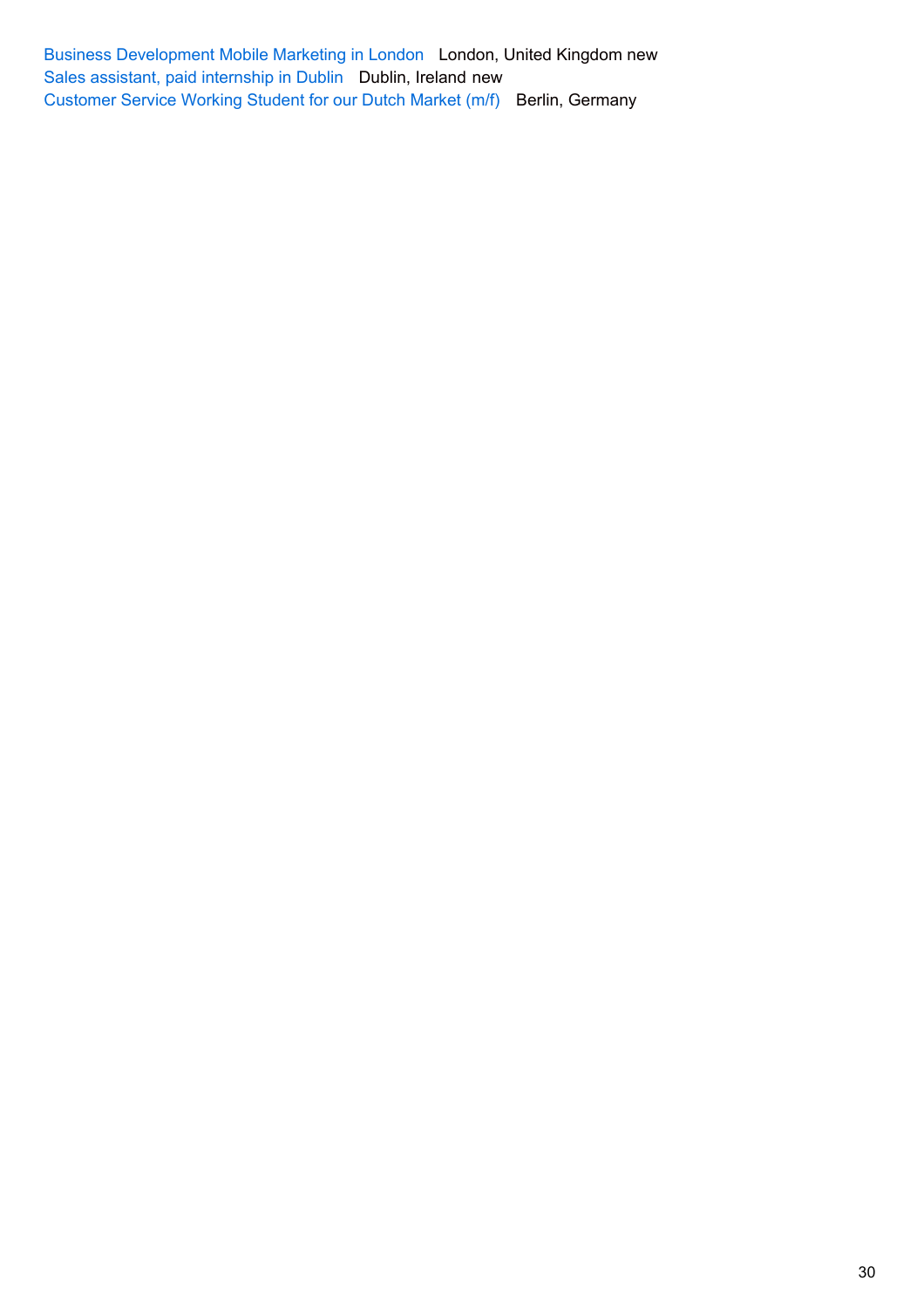[Business Development Mobile Marketing in London](http://www.pic-management.com/es/job/business-development-paid-internship-in-london-2/) London, United Kingdom new [Sales assistant, paid internship in Dublin](http://www.pic-management.com/es/job/sales-assitant-in-dublin-1-year/) Dublin, Ireland new [Customer Service Working Student for our Dutch Market \(m/f\)](http://www.pic-management.com/es/job/customer-service-working-student-for-our-dutch-market-mf/) Berlin, Germany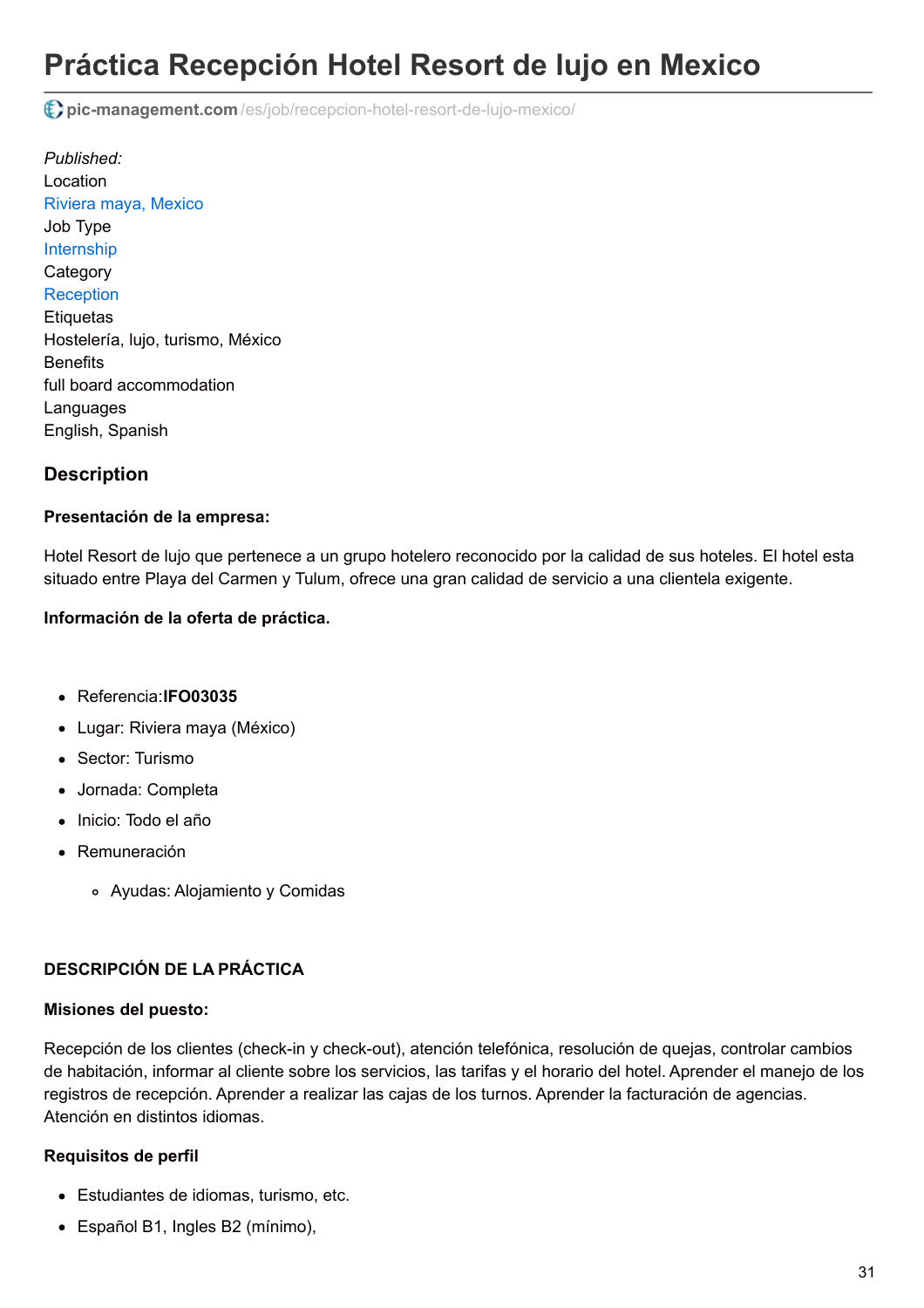# **Práctica Recepción Hotel Resort de lujo en Mexico**

**pic-management.com** [/es/job/recepcion-hotel-resort-de-lujo-mexico/](http://www.pic-management.com/es/job/recepcion-hotel-resort-de-lujo-mexico/)

*Published:* Location [Riviera maya, Mexico](https://www.google.com/maps/embed/v1/place?key=AIzaSyCczTP8nhcRK_FOj-OF9MbsUnrXVxoiM24&q=Riviera+maya%2C+%2C+Quintana+Roo%2C+Mexico&zoom=15) Job Type [Internship](http://www.pic-management.com/es/candidatos/estudiantes/ofertas-de-practicas/type/internship/) **Category [Reception](http://www.pic-management.com/es/candidatos/estudiantes/ofertas-de-practicas/category/reception/) Etiquetas** Hostelería, lujo, turismo, México **Benefits** full board accommodation **Languages** English, Spanish

## **Description**

#### **Presentación de la empresa:**

Hotel Resort de lujo que pertenece a un grupo hotelero reconocido por la calidad de sus hoteles. El hotel esta situado entre Playa del Carmen y Tulum, ofrece una gran calidad de servicio a una clientela exigente.

#### **Información de la oferta de práctica.**

- Referencia:**IFO03035**
- Lugar: Riviera maya (México)
- Sector: Turismo
- Jornada: Completa
- Inicio: Todo el año
- Remuneración
	- Ayudas: Alojamiento y Comidas

#### **DESCRIPCIÓN DE LA PRÁCTICA**

#### **Misiones del puesto:**

Recepción de los clientes (check-in y check-out), atención telefónica, resolución de quejas, controlar cambios de habitación, informar al cliente sobre los servicios, las tarifas y el horario del hotel. Aprender el manejo de los registros de recepción. Aprender a realizar las cajas de los turnos. Aprender la facturación de agencias. Atención en distintos idiomas.

#### **Requisitos de perfil**

- Estudiantes de idiomas, turismo, etc.
- Español B1, Ingles B2 (mínimo),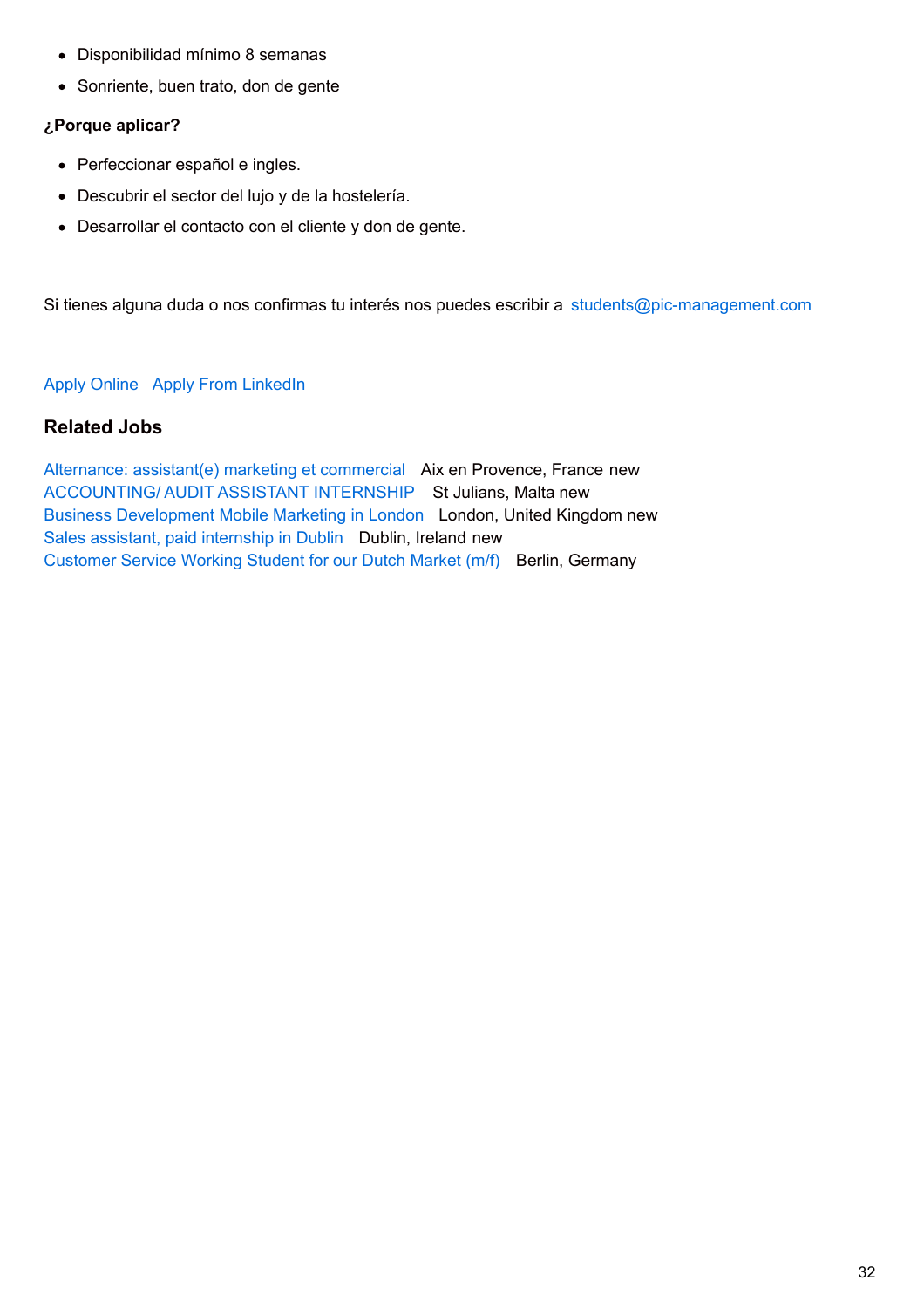- Disponibilidad mínimo 8 semanas
- Sonriente, buen trato, don de gente

#### **¿Porque aplicar?**

- Perfeccionar español e ingles.
- Descubrir el sector del lujo y de la hostelería.
- Desarrollar el contacto con el cliente y don de gente.

Si tienes alguna duda o nos confirmas tu interés nos puedes escribir a [students@pic-management.com](mailto:students@pic-management.com)

#### [Apply Online](http://www.pic-management.com/es/job/recepcion-hotel-resort-de-lujo-mexico/?form=apply#wpjb-scroll) Apply From LinkedIn

### **Related Jobs**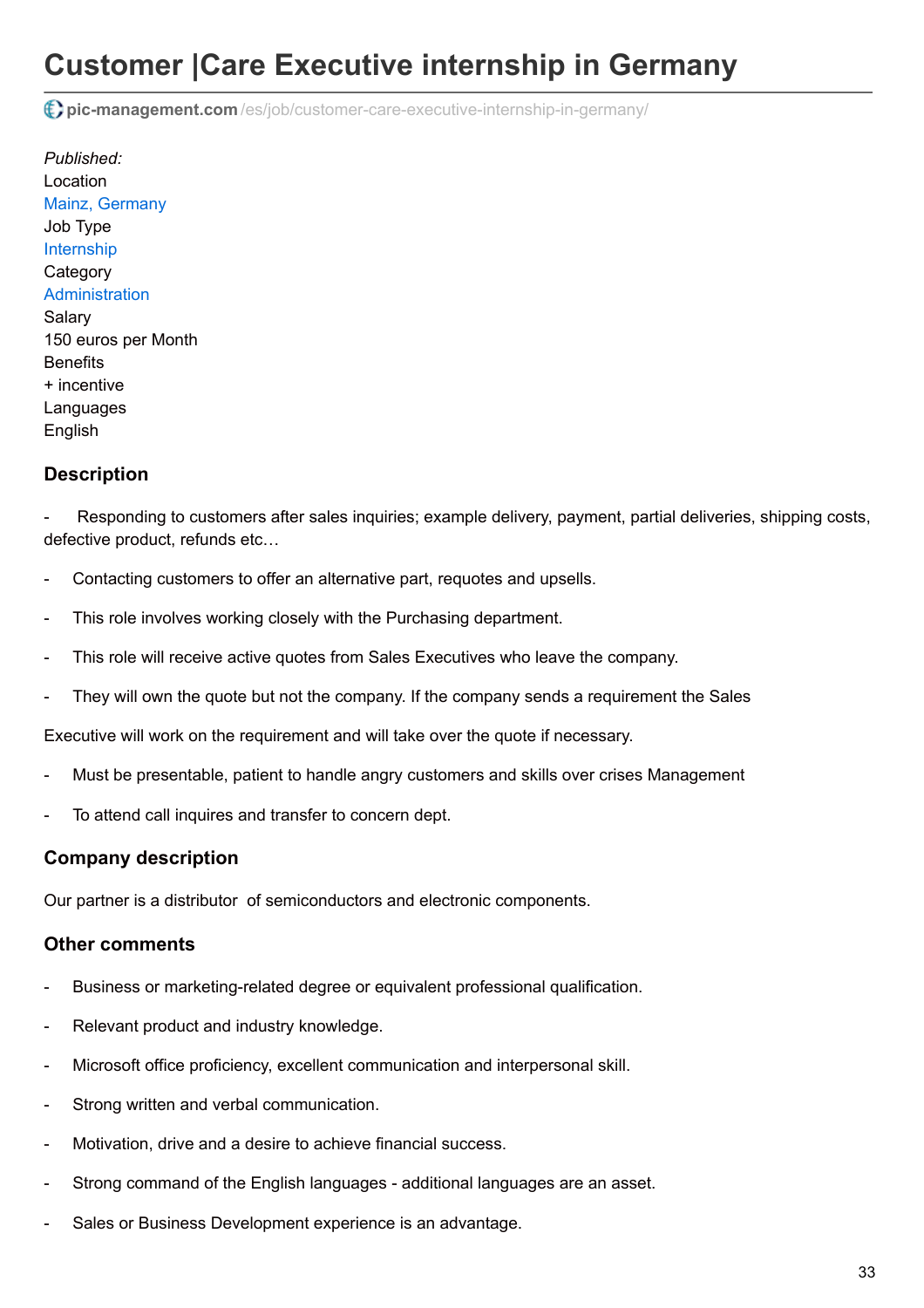# **Customer |Care Executive internship in Germany**

**pic-management.com** [/es/job/customer-care-executive-internship-in-germany/](http://www.pic-management.com/es/job/customer-care-executive-internship-in-germany/)

*Published:* Location [Mainz, Germany](https://www.google.com/maps/embed/v1/place?key=AIzaSyCczTP8nhcRK_FOj-OF9MbsUnrXVxoiM24&q=Mainz%2C+%2C+%2C+Germany&zoom=15) Job Type [Internship](http://www.pic-management.com/es/candidatos/estudiantes/ofertas-de-practicas/type/internship/) **Category** [Administration](http://www.pic-management.com/es/candidatos/estudiantes/ofertas-de-practicas/category/administration/) **Salarv** 150 euros per Month **Benefits** + incentive Languages English

# **Description**

Responding to customers after sales inquiries; example delivery, payment, partial deliveries, shipping costs, defective product, refunds etc…

- Contacting customers to offer an alternative part, requotes and upsells.
- This role involves working closely with the Purchasing department.
- This role will receive active quotes from Sales Executives who leave the company.
- They will own the quote but not the company. If the company sends a requirement the Sales

Executive will work on the requirement and will take over the quote if necessary.

- Must be presentable, patient to handle angry customers and skills over crises Management
- To attend call inquires and transfer to concern dept.

## **Company description**

Our partner is a distributor of semiconductors and electronic components.

### **Other comments**

- Business or marketing-related degree or equivalent professional qualification.
- Relevant product and industry knowledge.
- Microsoft office proficiency, excellent communication and interpersonal skill.
- Strong written and verbal communication.
- Motivation, drive and a desire to achieve financial success.
- Strong command of the English languages additional languages are an asset.
- Sales or Business Development experience is an advantage.